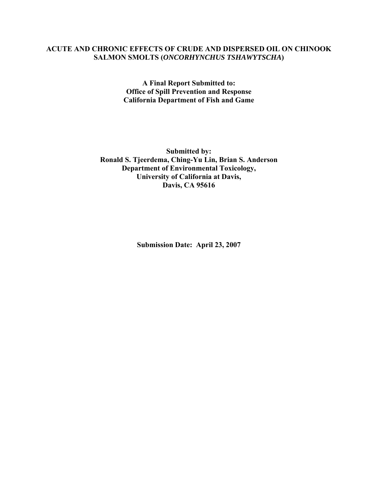### **ACUTE AND CHRONIC EFFECTS OF CRUDE AND DISPERSED OIL ON CHINOOK SALMON SMOLTS (***ONCORHYNCHUS TSHAWYTSCHA***)**

**A Final Report Submitted to: Office of Spill Prevention and Response California Department of Fish and Game** 

**Submitted by: Ronald S. Tjeerdema, Ching-Yu Lin, Brian S. Anderson Department of Environmental Toxicology, University of California at Davis, Davis, CA 95616** 

**Submission Date: April 23, 2007**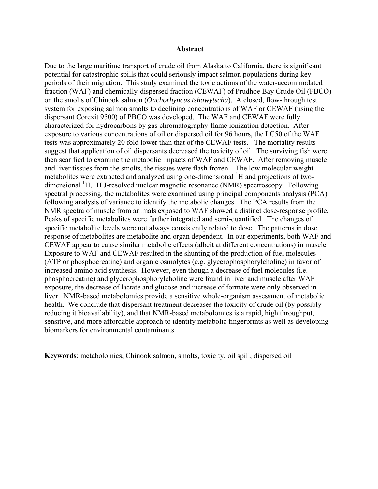#### **Abstract**

Due to the large maritime transport of crude oil from Alaska to California, there is significant potential for catastrophic spills that could seriously impact salmon populations during key periods of their migration. This study examined the toxic actions of the water-accommodated fraction (WAF) and chemically-dispersed fraction (CEWAF) of Prudhoe Bay Crude Oil (PBCO) on the smolts of Chinook salmon (*Onchorhyncus tshawytscha*). A closed, flow-through test system for exposing salmon smolts to declining concentrations of WAF or CEWAF (using the dispersant Corexit 9500) of PBCO was developed. The WAF and CEWAF were fully characterized for hydrocarbons by gas chromatography-flame ionization detection. After exposure to various concentrations of oil or dispersed oil for 96 hours, the LC50 of the WAF tests was approximately 20 fold lower than that of the CEWAF tests. The mortality results suggest that application of oil dispersants decreased the toxicity of oil. The surviving fish were then scarified to examine the metabolic impacts of WAF and CEWAF. After removing muscle and liver tissues from the smolts, the tissues were flash frozen. The low molecular weight metabolites were extracted and analyzed using one-dimensional <sup>1</sup>H and projections of twodimensional <sup>1</sup>H, <sup>1</sup>H J-resolved nuclear magnetic resonance (NMR) spectroscopy. Following spectral processing, the metabolites were examined using principal components analysis (PCA) following analysis of variance to identify the metabolic changes. The PCA results from the NMR spectra of muscle from animals exposed to WAF showed a distinct dose-response profile. Peaks of specific metabolites were further integrated and semi-quantified. The changes of specific metabolite levels were not always consistently related to dose. The patterns in dose response of metabolites are metabolite and organ dependent. In our experiments, both WAF and CEWAF appear to cause similar metabolic effects (albeit at different concentrations) in muscle. Exposure to WAF and CEWAF resulted in the shunting of the production of fuel molecules (ATP or phosphocreatine) and organic osmolytes (e.g. glycerophosphorylcholine) in favor of increased amino acid synthesis. However, even though a decrease of fuel molecules (i.e. phosphocreatine) and glycerophosphorylcholine were found in liver and muscle after WAF exposure, the decrease of lactate and glucose and increase of formate were only observed in liver. NMR-based metabolomics provide a sensitive whole-organism assessment of metabolic health. We conclude that dispersant treatment decreases the toxicity of crude oil (by possibly reducing it bioavailability), and that NMR-based metabolomics is a rapid, high throughput, sensitive, and more affordable approach to identify metabolic fingerprints as well as developing biomarkers for environmental contaminants.

**Keywords**: metabolomics, Chinook salmon, smolts, toxicity, oil spill, dispersed oil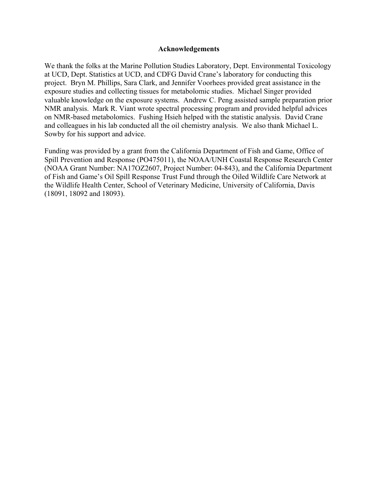#### **Acknowledgements**

We thank the folks at the Marine Pollution Studies Laboratory, Dept. Environmental Toxicology at UCD, Dept. Statistics at UCD, and CDFG David Crane's laboratory for conducting this project. Bryn M. Phillips, Sara Clark, and Jennifer Voorhees provided great assistance in the exposure studies and collecting tissues for metabolomic studies. Michael Singer provided valuable knowledge on the exposure systems. Andrew C. Peng assisted sample preparation prior NMR analysis. Mark R. Viant wrote spectral processing program and provided helpful advices on NMR-based metabolomics. Fushing Hsieh helped with the statistic analysis. David Crane and colleagues in his lab conducted all the oil chemistry analysis. We also thank Michael L. Sowby for his support and advice.

Funding was provided by a grant from the California Department of Fish and Game, Office of Spill Prevention and Response (PO475011), the NOAA/UNH Coastal Response Research Center (NOAA Grant Number: NA17OZ2607, Project Number: 04-843), and the California Department of Fish and Game's Oil Spill Response Trust Fund through the Oiled Wildlife Care Network at the Wildlife Health Center, School of Veterinary Medicine, University of California, Davis (18091, 18092 and 18093).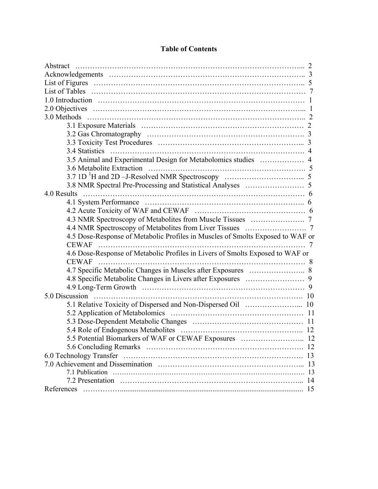| Abstract                                                                       |    |
|--------------------------------------------------------------------------------|----|
|                                                                                |    |
|                                                                                |    |
|                                                                                | 7  |
|                                                                                |    |
|                                                                                |    |
|                                                                                |    |
|                                                                                |    |
|                                                                                |    |
|                                                                                |    |
|                                                                                |    |
| 3.5 Animal and Experimental Design for Metabolomics studies  4                 |    |
|                                                                                |    |
|                                                                                |    |
|                                                                                |    |
| 4.0 Results                                                                    |    |
|                                                                                |    |
|                                                                                |    |
|                                                                                |    |
|                                                                                |    |
| 4.5 Dose-Response of Metabolic Profiles in Muscles of Smolts Exposed to WAF or |    |
|                                                                                |    |
| 4.6 Dose-Response of Metabolic Profiles in Livers of Smolts Exposed to WAF or  |    |
| <b>CEWAF</b>                                                                   |    |
|                                                                                |    |
|                                                                                |    |
|                                                                                |    |
|                                                                                |    |
|                                                                                |    |
|                                                                                |    |
|                                                                                |    |
|                                                                                |    |
| 5.5 Potential Biomarkers of WAF or CEWAF Exposures  12                         |    |
|                                                                                |    |
|                                                                                | 13 |
|                                                                                | 13 |
|                                                                                | 13 |
|                                                                                | 14 |
|                                                                                | 15 |

# **Table of Contents**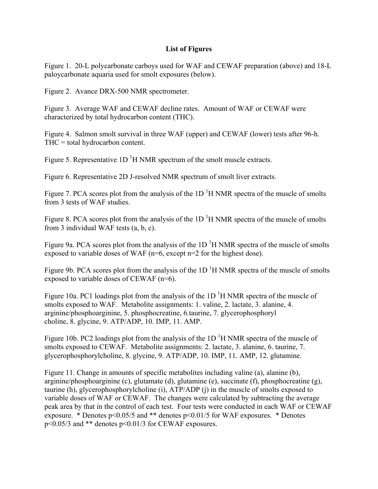### **List of Figures**

Figure 1. 20-L polycarbonate carboys used for WAF and CEWAF preparation (above) and 18-L paloycarbonate aquaria used for smolt exposures (below).

Figure 2. Avance DRX-500 NMR spectrometer.

Figure 3. Average WAF and CEWAF decline rates. Amount of WAF or CEWAF were characterized by total hydrocarbon content (THC).

Figure 4. Salmon smolt survival in three WAF (upper) and CEWAF (lower) tests after 96-h. THC = total hydrocarbon content.

Figure 5. Representative 1D  ${}^{1}$ H NMR spectrum of the smolt muscle extracts.

Figure 6. Representative 2D J-resolved NMR spectrum of smolt liver extracts.

Figure 7. PCA scores plot from the analysis of the  $1D<sup>1</sup>H NMR$  spectra of the muscle of smolts from 3 tests of WAF studies.

Figure 8. PCA scores plot from the analysis of the  $1D<sup>1</sup>H NMR$  spectra of the muscle of smolts from 3 individual WAF tests (a, b, c).

Figure 9a. PCA scores plot from the analysis of the  $1D<sup>1</sup>H NMR$  spectra of the muscle of smolts exposed to variable doses of WAF (n=6, except n=2 for the highest dose).

Figure 9b. PCA scores plot from the analysis of the  $1D<sup>1</sup>H NMR$  spectra of the muscle of smolts exposed to variable doses of CEWAF (n=6).

Figure 10a. PC1 loadings plot from the analysis of the  $1D<sup>1</sup>H NMR$  spectra of the muscle of smolts exposed to WAF. Metabolite assignments: 1. valine, 2. lactate, 3. alanine, 4. arginine/phosphoarginine, 5. phosphocreatine, 6.taurine, 7. glycerophosphoryl choline, 8. glycine, 9. ATP/ADP, 10. IMP, 11. AMP.

Figure 10b. PC2 loadings plot from the analysis of the  $1D<sup>1</sup>H NMR$  spectra of the muscle of smolts exposed to CEWAF. Metabolite assignments: 2. lactate, 3. alanine, 6. taurine, 7. glycerophosphorylcholine, 8. glycine, 9. ATP/ADP, 10. IMP, 11. AMP, 12. glutamine.

Figure 11. Change in amounts of specific metabolites including valine (a), alanine (b), arginine/phosphoarginine (c), glutamate (d), glutamine (e), succinate (f), phosphocreatine (g), taurine (h), glycerophosphorylcholine (i), ATP/ADP (j) in the muscle of smolts exposed to variable doses of WAF or CEWAF. The changes were calculated by subtracting the average peak area by that in the control of each test. Four tests were conducted in each WAF or CEWAF exposure. \* Denotes  $p \le 0.05/5$  and \*\* denotes  $p \le 0.01/5$  for WAF exposures. \* Denotes p<0.05/3 and \*\* denotes p<0.01/3 for CEWAF exposures.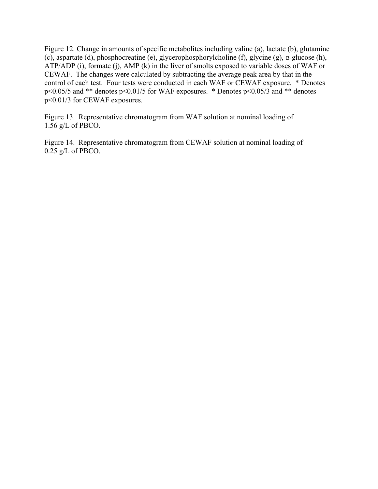Figure 12. Change in amounts of specific metabolites including valine (a), lactate (b), glutamine (c), aspartate (d), phosphocreatine (e), glycerophosphorylcholine (f), glycine (g), α-glucose (h), ATP/ADP (i), formate (j), AMP (k) in the liver of smolts exposed to variable doses of WAF or CEWAF. The changes were calculated by subtracting the average peak area by that in the control of each test. Four tests were conducted in each WAF or CEWAF exposure. \* Denotes p<0.05/5 and \*\* denotes p<0.01/5 for WAF exposures. \* Denotes p<0.05/3 and \*\* denotes p<0.01/3 for CEWAF exposures.

Figure 13. Representative chromatogram from WAF solution at nominal loading of 1.56 g/L of PBCO.

Figure 14. Representative chromatogram from CEWAF solution at nominal loading of  $0.25$  g/L of PBCO.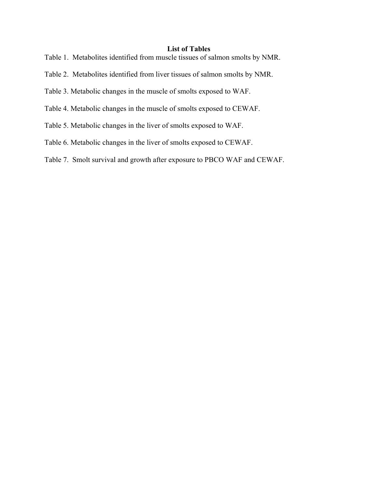#### **List of Tables**

- Table 1. Metabolites identified from muscle tissues of salmon smolts by NMR.
- Table 2. Metabolites identified from liver tissues of salmon smolts by NMR.
- Table 3. Metabolic changes in the muscle of smolts exposed to WAF.
- Table 4. Metabolic changes in the muscle of smolts exposed to CEWAF.
- Table 5. Metabolic changes in the liver of smolts exposed to WAF.
- Table 6. Metabolic changes in the liver of smolts exposed to CEWAF.
- Table 7. Smolt survival and growth after exposure to PBCO WAF and CEWAF.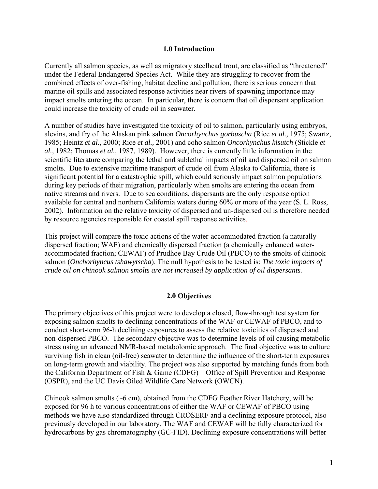### **1.0 Introduction**

Currently all salmon species, as well as migratory steelhead trout, are classified as "threatened" under the Federal Endangered Species Act. While they are struggling to recover from the combined effects of over-fishing, habitat decline and pollution, there is serious concern that marine oil spills and associated response activities near rivers of spawning importance may impact smolts entering the ocean. In particular, there is concern that oil dispersant application could increase the toxicity of crude oil in seawater.

A number of studies have investigated the toxicity of oil to salmon, particularly using embryos, alevins, and fry of the Alaskan pink salmon *Oncorhynchus gorbuscha* (Rice *et al.,* 1975; Swartz, 1985; Heintz *et al.,* 2000; Rice *et al.,* 2001) and coho salmon *Oncorhynchus kisutch* (Stickle *et al.,* 1982; Thomas *et al.,* 1987, 1989). However, there is currently little information in the scientific literature comparing the lethal and sublethal impacts of oil and dispersed oil on salmon smolts. Due to extensive maritime transport of crude oil from Alaska to California, there is significant potential for a catastrophic spill, which could seriously impact salmon populations during key periods of their migration, particularly when smolts are entering the ocean from native streams and rivers. Due to sea conditions, dispersants are the only response option available for central and northern California waters during 60% or more of the year (S. L. Ross, 2002). Information on the relative toxicity of dispersed and un-dispersed oil is therefore needed by resource agencies responsible for coastal spill response activities.

This project will compare the toxic actions of the water-accommodated fraction (a naturally dispersed fraction; WAF) and chemically dispersed fraction (a chemically enhanced wateraccommodated fraction; CEWAF) of Prudhoe Bay Crude Oil (PBCO) to the smolts of chinook salmon (*Onchorhyncus tshawytscha*). The null hypothesis to be tested is: *The toxic impacts of crude oil on chinook salmon smolts are not increased by application of oil dispersants.*

## **2.0 Objectives**

The primary objectives of this project were to develop a closed, flow-through test system for exposing salmon smolts to declining concentrations of the WAF or CEWAF of PBCO, and to conduct short-term 96-h declining exposures to assess the relative toxicities of dispersed and non-dispersed PBCO. The secondary objective was to determine levels of oil causing metabolic stress using an advanced NMR-based metabolomic approach. The final objective was to culture surviving fish in clean (oil-free) seawater to determine the influence of the short-term exposures on long-term growth and viability. The project was also supported by matching funds from both the California Department of Fish & Game (CDFG) – Office of Spill Prevention and Response (OSPR), and the UC Davis Oiled Wildlife Care Network (OWCN).

Chinook salmon smolts (~6 cm), obtained from the CDFG Feather River Hatchery, will be exposed for 96 h to various concentrations of either the WAF or CEWAF of PBCO using methods we have also standardized through CROSERF and a declining exposure protocol, also previously developed in our laboratory. The WAF and CEWAF will be fully characterized for hydrocarbons by gas chromatography (GC-FID). Declining exposure concentrations will better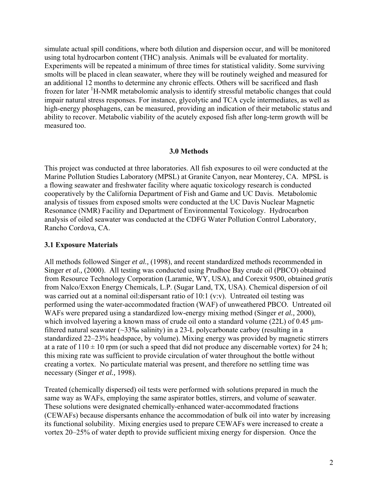simulate actual spill conditions, where both dilution and dispersion occur, and will be monitored using total hydrocarbon content (THC) analysis. Animals will be evaluated for mortality. Experiments will be repeated a minimum of three times for statistical validity. Some surviving smolts will be placed in clean seawater, where they will be routinely weighed and measured for an additional 12 months to determine any chronic effects. Others will be sacrificed and flash frozen for later <sup>1</sup>H-NMR metabolomic analysis to identify stressful metabolic changes that could impair natural stress responses. For instance, glycolytic and TCA cycle intermediates, as well as high-energy phosphagens, can be measured, providing an indication of their metabolic status and ability to recover. Metabolic viability of the acutely exposed fish after long-term growth will be measured too.

#### **3.0 Methods**

This project was conducted at three laboratories. All fish exposures to oil were conducted at the Marine Pollution Studies Laboratory (MPSL) at Granite Canyon, near Monterey, CA. MPSL is a flowing seawater and freshwater facility where aquatic toxicology research is conducted cooperatively by the California Department of Fish and Game and UC Davis. Metabolomic analysis of tissues from exposed smolts were conducted at the UC Davis Nuclear Magnetic Resonance (NMR) Facility and Department of Environmental Toxicology. Hydrocarbon analysis of oiled seawater was conducted at the CDFG Water Pollution Control Laboratory, Rancho Cordova, CA.

### **3.1 Exposure Materials**

All methods followed Singer *et al.,* (1998), and recent standardized methods recommended in Singer *et al.,* (2000). All testing was conducted using Prudhoe Bay crude oil (PBCO) obtained from Resource Technology Corporation (Laramie, WY, USA), and Corexit 9500, obtained *gratis*  from Nalco/Exxon Energy Chemicals, L.P. (Sugar Land, TX, USA). Chemical dispersion of oil was carried out at a nominal oil: dispersant ratio of 10:1 (v:v). Untreated oil testing was performed using the water-accommodated fraction (WAF) of unweathered PBCO. Untreated oil WAFs were prepared using a standardized low-energy mixing method (Singer *et al.,* 2000), which involved layering a known mass of crude oil onto a standard volume (22L) of 0.45  $\mu$ mfiltered natural seawater  $(\sim 33\%$  salinity) in a 23-L polycarbonate carboy (resulting in a standardized 22–23% headspace, by volume). Mixing energy was provided by magnetic stirrers at a rate of  $110 \pm 10$  rpm (or such a speed that did not produce any discernable vortex) for 24 h; this mixing rate was sufficient to provide circulation of water throughout the bottle without creating a vortex. No particulate material was present, and therefore no settling time was necessary (Singer *et al.,* 1998).

Treated (chemically dispersed) oil tests were performed with solutions prepared in much the same way as WAFs, employing the same aspirator bottles, stirrers, and volume of seawater. These solutions were designated chemically-enhanced water-accommodated fractions (CEWAFs) because dispersants enhance the accommodation of bulk oil into water by increasing its functional solubility. Mixing energies used to prepare CEWAFs were increased to create a vortex 20–25% of water depth to provide sufficient mixing energy for dispersion. Once the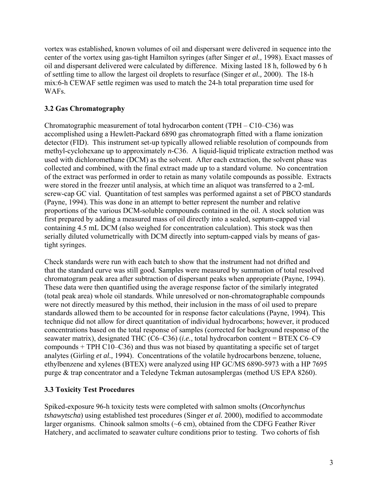vortex was established, known volumes of oil and dispersant were delivered in sequence into the center of the vortex using gas-tight Hamilton syringes (after Singer *et al.,* 1998). Exact masses of oil and dispersant delivered were calculated by difference. Mixing lasted 18 h, followed by 6 h of settling time to allow the largest oil droplets to resurface (Singer *et al.,* 2000). The 18-h mix:6-h CEWAF settle regimen was used to match the 24-h total preparation time used for WAFs.

# **3.2 Gas Chromatography**

Chromatographic measurement of total hydrocarbon content (TPH – C10–C36) was accomplished using a Hewlett-Packard 6890 gas chromatograph fitted with a flame ionization detector (FID). This instrument set-up typically allowed reliable resolution of compounds from methyl-cyclohexane up to approximately *n*-C36. A liquid-liquid triplicate extraction method was used with dichloromethane (DCM) as the solvent. After each extraction, the solvent phase was collected and combined, with the final extract made up to a standard volume. No concentration of the extract was performed in order to retain as many volatile compounds as possible. Extracts were stored in the freezer until analysis, at which time an aliquot was transferred to a 2-mL screw-cap GC vial. Quantitation of test samples was performed against a set of PBCO standards (Payne, 1994). This was done in an attempt to better represent the number and relative proportions of the various DCM-soluble compounds contained in the oil. A stock solution was first prepared by adding a measured mass of oil directly into a sealed, septum-capped vial containing 4.5 mL DCM (also weighed for concentration calculation). This stock was then serially diluted volumetrically with DCM directly into septum-capped vials by means of gastight syringes.

Check standards were run with each batch to show that the instrument had not drifted and that the standard curve was still good. Samples were measured by summation of total resolved chromatogram peak area after subtraction of dispersant peaks when appropriate (Payne, 1994). These data were then quantified using the average response factor of the similarly integrated (total peak area) whole oil standards. While unresolved or non-chromatographable compounds were not directly measured by this method, their inclusion in the mass of oil used to prepare standards allowed them to be accounted for in response factor calculations (Payne, 1994). This technique did not allow for direct quantitation of individual hydrocarbons; however, it produced concentrations based on the total response of samples (corrected for background response of the seawater matrix), designated THC (C6–C36) (*i.e.,* total hydrocarbon content = BTEX C6–C9 compounds + TPH C10–C36) and thus was not biased by quantitating a specific set of target analytes (Girling *et al.,* 1994). Concentrations of the volatile hydrocarbons benzene, toluene, ethylbenzene and xylenes (BTEX) were analyzed using HP GC/MS 6890-5973 with a HP 7695 purge & trap concentrator and a Teledyne Tekman autosamplergas (method US EPA 8260).

# **3.3 Toxicity Test Procedures**

Spiked-exposure 96-h toxicity tests were completed with salmon smolts (*Oncorhynchus tshawytscha*) using established test procedures (Singer *et al.* 2000), modified to accommodate larger organisms. Chinook salmon smolts (~6 cm), obtained from the CDFG Feather River Hatchery, and acclimated to seawater culture conditions prior to testing. Two cohorts of fish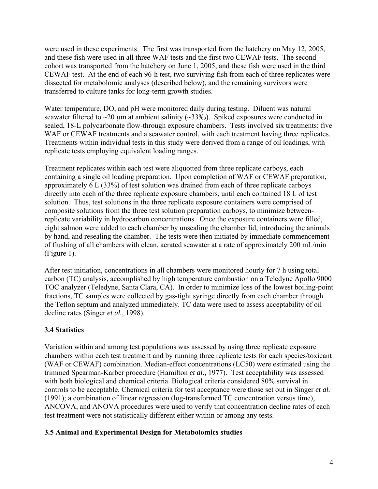were used in these experiments. The first was transported from the hatchery on May 12, 2005, and these fish were used in all three WAF tests and the first two CEWAF tests. The second cohort was transported from the hatchery on June 1, 2005, and these fish were used in the third CEWAF test. At the end of each 96-h test, two surviving fish from each of three replicates were dissected for metabolomic analyses (described below), and the remaining survivors were transferred to culture tanks for long-term growth studies.

Water temperature, DO, and pH were monitored daily during testing. Diluent was natural seawater filtered to  $\sim$ 20 µm at ambient salinity ( $\sim$ 33‰). Spiked exposures were conducted in sealed, 18-L polycarbonate flow-through exposure chambers. Tests involved six treatments: five WAF or CEWAF treatments and a seawater control, with each treatment having three replicates. Treatments within individual tests in this study were derived from a range of oil loadings, with replicate tests employing equivalent loading ranges.

Treatment replicates within each test were aliquotted from three replicate carboys, each containing a single oil loading preparation. Upon completion of WAF or CEWAF preparation, approximately 6 L (33%) of test solution was drained from each of three replicate carboys directly into each of the three replicate exposure chambers, until each contained 18 L of test solution. Thus, test solutions in the three replicate exposure containers were comprised of composite solutions from the three test solution preparation carboys, to minimize betweenreplicate variability in hydrocarbon concentrations. Once the exposure containers were filled, eight salmon were added to each chamber by unsealing the chamber lid, introducing the animals by hand, and resealing the chamber. The tests were then initiated by immediate commencement of flushing of all chambers with clean, aerated seawater at a rate of approximately 200 mL/min (Figure 1).

After test initiation, concentrations in all chambers were monitored hourly for 7 h using total carbon (TC) analysis, accomplished by high temperature combustion on a Teledyne Apollo 9000 TOC analyzer (Teledyne, Santa Clara, CA). In order to minimize loss of the lowest boiling-point fractions, TC samples were collected by gas-tight syringe directly from each chamber through the Teflon septum and analyzed immediately. TC data were used to assess acceptability of oil decline rates (Singer *et al.,* 1998).

# **3.4 Statistics**

Variation within and among test populations was assessed by using three replicate exposure chambers within each test treatment and by running three replicate tests for each species/toxicant (WAF or CEWAF) combination. Median-effect concentrations (LC50) were estimated using the trimmed Spearman-Karber procedure (Hamilton *et al.,* 1977). Test acceptability was assessed with both biological and chemical criteria. Biological criteria considered 80% survival in controls to be acceptable. Chemical criteria for test acceptance were those set out in Singer *et al.*  (1991); a combination of linear regression (log-transformed TC concentration versus time), ANCOVA, and ANOVA procedures were used to verify that concentration decline rates of each test treatment were not statistically different either within or among any tests.

## **3.5 Animal and Experimental Design for Metabolomics studies**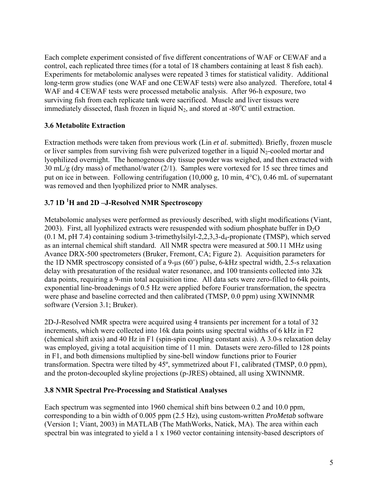Each complete experiment consisted of five different concentrations of WAF or CEWAF and a control, each replicated three times (for a total of 18 chambers containing at least 8 fish each). Experiments for metabolomic analyses were repeated 3 times for statistical validity. Additional long-term grow studies (one WAF and one CEWAF tests) were also analyzed. Therefore, total 4 WAF and 4 CEWAF tests were processed metabolic analysis. After 96-h exposure, two surviving fish from each replicate tank were sacrificed. Muscle and liver tissues were immediately dissected, flash frozen in liquid  $N_2$ , and stored at -80 $^{\circ}$ C until extraction.

# **3.6 Metabolite Extraction**

Extraction methods were taken from previous work (Lin *et al.* submitted). Briefly, frozen muscle or liver samples from surviving fish were pulverized together in a liquid  $N_2$ -cooled mortar and lyophilized overnight. The homogenous dry tissue powder was weighed, and then extracted with 30 mL/g (dry mass) of methanol/water (2/1). Samples were vortexed for 15 sec three times and put on ice in between. Following centrifugation (10,000 g, 10 min, 4°C), 0.46 mL of supernatant was removed and then lyophilized prior to NMR analyses.

# **3.7 1D 1 H and 2D –J-Resolved NMR Spectroscopy**

Metabolomic analyses were performed as previously described, with slight modifications (Viant, 2003). First, all lyophilized extracts were resuspended with sodium phosphate buffer in  $D<sub>2</sub>O$  $(0.1 \text{ M}, \text{pH } 7.4)$  containing sodium 3-trimethylsilyl-2,2,3,3-d<sub>4</sub>-propionate (TMSP), which served as an internal chemical shift standard. All NMR spectra were measured at 500.11 MHz using Avance DRX-500 spectrometers (Bruker, Fremont, CA; Figure 2). Acquisition parameters for the 1D NMR spectroscopy consisted of a 9-μs (60˚) pulse, 6-kHz spectral width, 2.5-s relaxation delay with presaturation of the residual water resonance, and 100 transients collected into 32k data points, requiring a 9-min total acquisition time. All data sets were zero-filled to 64k points, exponential line-broadenings of 0.5 Hz were applied before Fourier transformation, the spectra were phase and baseline corrected and then calibrated (TMSP, 0.0 ppm) using XWINNMR software (Version 3.1; Bruker).

2D-J-Resolved NMR spectra were acquired using 4 transients per increment for a total of 32 increments, which were collected into 16k data points using spectral widths of 6 kHz in F2 (chemical shift axis) and 40 Hz in F1 (spin-spin coupling constant axis). A 3.0-s relaxation delay was employed, giving a total acquisition time of 11 min. Datasets were zero-filled to 128 points in F1, and both dimensions multiplied by sine-bell window functions prior to Fourier transformation. Spectra were tilted by 45º, symmetrized about F1, calibrated (TMSP, 0.0 ppm), and the proton-decoupled skyline projections (p-JRES) obtained, all using XWINNMR.

## **3.8 NMR Spectral Pre-Processing and Statistical Analyses**

Each spectrum was segmented into 1960 chemical shift bins between 0.2 and 10.0 ppm, corresponding to a bin width of 0.005 ppm (2.5 Hz), using custom-written *ProMetab* software (Version 1; Viant, 2003) in MATLAB (The MathWorks, Natick, MA). The area within each spectral bin was integrated to yield a 1 x 1960 vector containing intensity-based descriptors of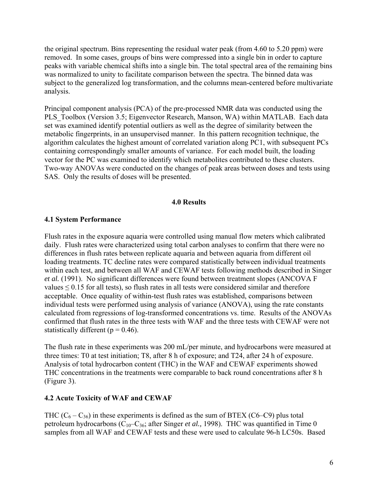the original spectrum. Bins representing the residual water peak (from 4.60 to 5.20 ppm) were removed. In some cases, groups of bins were compressed into a single bin in order to capture peaks with variable chemical shifts into a single bin. The total spectral area of the remaining bins was normalized to unity to facilitate comparison between the spectra. The binned data was subject to the generalized log transformation, and the columns mean-centered before multivariate analysis.

Principal component analysis (PCA) of the pre-processed NMR data was conducted using the PLS Toolbox (Version 3.5; Eigenvector Research, Manson, WA) within MATLAB. Each data set was examined identify potential outliers as well as the degree of similarity between the metabolic fingerprints, in an unsupervised manner. In this pattern recognition technique, the algorithm calculates the highest amount of correlated variation along PC1, with subsequent PCs containing correspondingly smaller amounts of variance. For each model built, the loading vector for the PC was examined to identify which metabolites contributed to these clusters. Two-way ANOVAs were conducted on the changes of peak areas between doses and tests using SAS. Only the results of doses will be presented.

#### **4.0 Results**

#### **4.1 System Performance**

Flush rates in the exposure aquaria were controlled using manual flow meters which calibrated daily. Flush rates were characterized using total carbon analyses to confirm that there were no differences in flush rates between replicate aquaria and between aquaria from different oil loading treatments. TC decline rates were compared statistically between individual treatments within each test, and between all WAF and CEWAF tests following methods described in Singer *et al.* (1991). No significant differences were found between treatment slopes (ANCOVA F values  $\leq$  0.15 for all tests), so flush rates in all tests were considered similar and therefore acceptable. Once equality of within-test flush rates was established, comparisons between individual tests were performed using analysis of variance (ANOVA), using the rate constants calculated from regressions of log-transformed concentrations vs. time. Results of the ANOVAs confirmed that flush rates in the three tests with WAF and the three tests with CEWAF were not statistically different ( $p = 0.46$ ).

The flush rate in these experiments was 200 mL/per minute, and hydrocarbons were measured at three times: T0 at test initiation; T8, after 8 h of exposure; and T24, after 24 h of exposure. Analysis of total hydrocarbon content (THC) in the WAF and CEWAF experiments showed THC concentrations in the treatments were comparable to back round concentrations after 8 h (Figure 3).

### **4.2 Acute Toxicity of WAF and CEWAF**

THC  $(C_6 - C_{36})$  in these experiments is defined as the sum of BTEX (C6–C9) plus total petroleum hydrocarbons (C<sub>10</sub>–C<sub>36</sub>; after Singer *et al.*, 1998). THC was quantified in Time 0 samples from all WAF and CEWAF tests and these were used to calculate 96-h LC50s. Based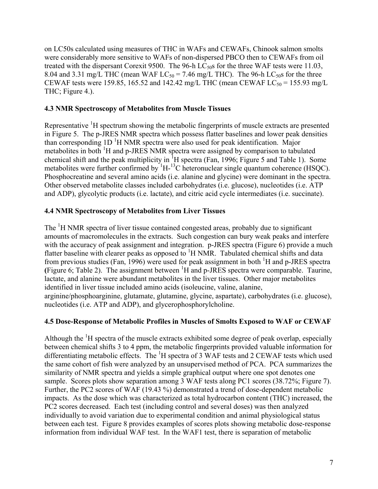on LC50s calculated using measures of THC in WAFs and CEWAFs, Chinook salmon smolts were considerably more sensitive to WAFs of non-dispersed PBCO then to CEWAFs from oil treated with the dispersant Corexit 9500. The 96-h  $LC_{50}$ s for the three WAF tests were 11.03, 8.04 and 3.31 mg/L THC (mean WAF  $LC_{50} = 7.46$  mg/L THC). The 96-h  $LC_{50}$ s for the three CEWAF tests were 159.85, 165.52 and 142.42 mg/L THC (mean CEWAF LC<sub>50</sub> = 155.93 mg/L THC; Figure 4.).

## **4.3 NMR Spectroscopy of Metabolites from Muscle Tissues**

Representative  ${}^{1}H$  spectrum showing the metabolic fingerprints of muscle extracts are presented in Figure 5. The p-JRES NMR spectra which possess flatter baselines and lower peak densities than corresponding 1D<sup>1</sup>H NMR spectra were also used for peak identification. Major metabolites in both <sup>1</sup>H and p-JRES NMR spectra were assigned by comparison to tabulated chemical shift and the peak multiplicity in  ${}^{1}H$  spectra (Fan, 1996; Figure 5 and Table 1). Some metabolites were further confirmed by  ${}^{1}H-{}^{13}C$  heteronuclear single quantum coherence (HSQC). Phosphocreatine and several amino acids (i.e. alanine and glycine) were dominant in the spectra. Other observed metabolite classes included carbohydrates (i.e. glucose), nucleotides (i.e. ATP and ADP), glycolytic products (i.e. lactate), and citric acid cycle intermediates (i.e. succinate).

## **4.4 NMR Spectroscopy of Metabolites from Liver Tissues**

The <sup>1</sup>H NMR spectra of liver tissue contained congested areas, probably due to significant amounts of macromolecules in the extracts. Such congestion can bury weak peaks and interfere with the accuracy of peak assignment and integration. p-JRES spectra (Figure 6) provide a much flatter baseline with clearer peaks as opposed to  ${}^{1}H$  NMR. Tabulated chemical shifts and data from previous studies (Fan, 1996) were used for peak assignment in both  ${}^{1}H$  and p-JRES spectra (Figure 6; Table 2). The assignment between <sup>1</sup>H and p-JRES spectra were comparable. Taurine, lactate, and alanine were abundant metabolites in the liver tissues. Other major metabolites identified in liver tissue included amino acids (isoleucine, valine, alanine, arginine/phosphoarginine, glutamate, glutamine, glycine, aspartate), carbohydrates (i.e. glucose), nucleotides (i.e. ATP and ADP), and glycerophosphorylcholine.

## **4.5 Dose-Response of Metabolic Profiles in Muscles of Smolts Exposed to WAF or CEWAF**

Although the  ${}^{1}H$  spectra of the muscle extracts exhibited some degree of peak overlap, especially between chemical shifts 3 to 4 ppm, the metabolic fingerprints provided valuable information for differentiating metabolic effects. The  ${}^{1}H$  spectra of 3 WAF tests and 2 CEWAF tests which used the same cohort of fish were analyzed by an unsupervised method of PCA. PCA summarizes the similarity of NMR spectra and yields a simple graphical output where one spot denotes one sample. Scores plots show separation among 3 WAF tests along PC1 scores (38.72%; Figure 7). Further, the PC2 scores of WAF (19.43 %) demonstrated a trend of dose-dependent metabolic impacts. As the dose which was characterized as total hydrocarbon content (THC) increased, the PC2 scores decreased. Each test (including control and several doses) was then analyzed individually to avoid variation due to experimental condition and animal physiological status between each test. Figure 8 provides examples of scores plots showing metabolic dose-response information from individual WAF test. In the WAF1 test, there is separation of metabolic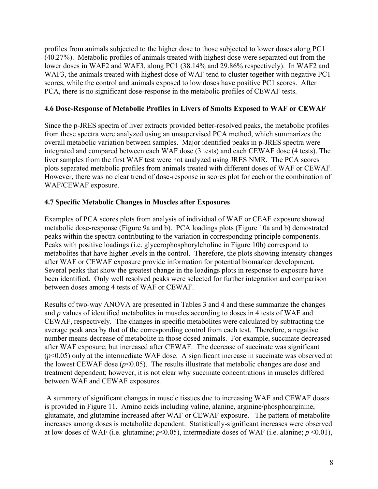profiles from animals subjected to the higher dose to those subjected to lower doses along PC1 (40.27%). Metabolic profiles of animals treated with highest dose were separated out from the lower doses in WAF2 and WAF3, along PC1 (38.14% and 29.86% respectively). In WAF2 and WAF3, the animals treated with highest dose of WAF tend to cluster together with negative PC1 scores, while the control and animals exposed to low doses have positive PC1 scores. After PCA, there is no significant dose-response in the metabolic profiles of CEWAF tests.

## **4.6 Dose-Response of Metabolic Profiles in Livers of Smolts Exposed to WAF or CEWAF**

Since the p-JRES spectra of liver extracts provided better-resolved peaks, the metabolic profiles from these spectra were analyzed using an unsupervised PCA method, which summarizes the overall metabolic variation between samples. Major identified peaks in p-JRES spectra were integrated and compared between each WAF dose (3 tests) and each CEWAF dose (4 tests). The liver samples from the first WAF test were not analyzed using JRES NMR. The PCA scores plots separated metabolic profiles from animals treated with different doses of WAF or CEWAF. However, there was no clear trend of dose-response in scores plot for each or the combination of WAF/CEWAF exposure.

## **4.7 Specific Metabolic Changes in Muscles after Exposures**

Examples of PCA scores plots from analysis of individual of WAF or CEAF exposure showed metabolic dose-response (Figure 9a and b). PCA loadings plots (Figure 10a and b) demostrated peaks within the spectra contributing to the variation in corresponding principle components. Peaks with positive loadings (i.e. glycerophosphorylcholine in Figure 10b) correspond to metabolites that have higher levels in the control. Therefore, the plots showing intensity changes after WAF or CEWAF exposure provide information for potential biomarker development. Several peaks that show the greatest change in the loadings plots in response to exposure have been identified. Only well resolved peaks were selected for further integration and comparison between doses among 4 tests of WAF or CEWAF.

Results of two-way ANOVA are presented in Tables 3 and 4 and these summarize the changes and *p* values of identified metabolites in muscles according to doses in 4 tests of WAF and CEWAF, respectively. The changes in specific metabolites were calculated by subtracting the average peak area by that of the corresponding control from each test. Therefore, a negative number means decrease of metabolite in those dosed animals. For example, succinate decreased after WAF exposure, but increased after CEWAF. The decrease of succinate was significant (*p*<0.05) only at the intermediate WAF dose. A significant increase in succinate was observed at the lowest CEWAF dose  $(p<0.05)$ . The results illustrate that metabolic changes are dose and treatment dependent; however, it is not clear why succinate concentrations in muscles differed between WAF and CEWAF exposures.

 A summary of significant changes in muscle tissues due to increasing WAF and CEWAF doses is provided in Figure 11. Amino acids including valine, alanine, arginine/phosphoarginine, glutamate, and glutamine increased after WAF or CEWAF exposure. The pattern of metabolite increases among doses is metabolite dependent. Statistically-significant increases were observed at low doses of WAF (i.e. glutamine;  $p<0.05$ ), intermediate doses of WAF (i.e. alanine;  $p<0.01$ ),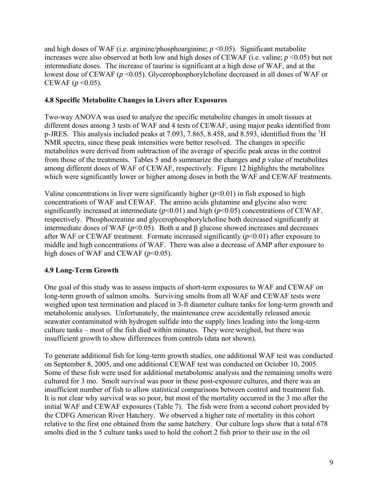and high doses of WAF (i.e. arginine/phosphoarginine; *p* <0.05). Significant metabolite increases were also observed at both low and high doses of CEWAF (i.e. valine; *p* <0.05) but not intermediate doses. The increase of taurine is significant at a high dose of WAF, and at the lowest dose of CEWAF (*p* <0.05). Glycerophosphorylcholine decreased in all doses of WAF or CEWAF ( $p \le 0.05$ ).

## **4.8 Specific Metabolite Changes in Livers after Exposures**

Two-way ANOVA was used to analyze the specific metabolite changes in smolt tissues at different doses among 3 tests of WAF and 4 tests of CEWAF, using major peaks identified from p-JRES. This analysis included peaks at 7.093, 7.865, 8.458, and 8.593, identified from the <sup>1</sup>H NMR spectra, since these peak intensities were better resolved. The changes in specific metabolites were derived from subtraction of the average of specific peak areas in the control from those of the treatments. Tables 5 and 6 summarize the changes and *p* value of metabolites among different doses of WAF of CEWAF, respectively. Figure 12 highlights the metabolites which were significantly lower or higher among doses in both the WAF and CEWAF treatments.

Valine concentrations in liver were significantly higher  $(p<0.01)$  in fish exposed to high concentrations of WAF and CEWAF. The amino acids glutamine and glycine also were significantly increased at intermediate  $(p<0.01)$  and high  $(p<0.05)$  concentrations of CEWAF, respectively. Phosphocreatine and glycerophosphorylcholine both decreased significantly at intermediate doses of WAF ( $p$ <0.05). Both  $\alpha$  and  $\beta$  glucose showed increases and decreases after WAF or CEWAF treatment. Formate increased significantly  $(p<0.01)$  after exposure to middle and high concentrations of WAF. There was also a decrease of AMP after exposure to high doses of WAF and CEWAF  $(p<0.05)$ .

# **4.9 Long-Term Growth**

One goal of this study was to assess impacts of short-term exposures to WAF and CEWAF on long-term growth of salmon smolts. Surviving smolts from all WAF and CEWAF tests were weighed upon test termination and placed in 3-ft diameter culture tanks for long-term growth and metabolomic analyses. Unfortunately, the maintenance crew accidentally released anoxic seawater contaminated with hydrogen sulfide into the supply lines leading into the long-term culture tanks – most of the fish died within minutes. They were weighed, but there was insufficient growth to show differences from controls (data not shown).

To generate additional fish for long-term growth studies, one additional WAF test was conducted on September 8, 2005, and one additional CEWAF test was conducted on October 10, 2005. Some of these fish were used for additional metabolomic analysis and the remaining smolts were cultured for 3 mo. Smolt survival was poor in these post-exposure cultures, and there was an insufficient number of fish to allow statistical comparisons between control and treatment fish. It is not clear why survival was so poor, but most of the mortality occurred in the 3 mo after the initial WAF and CEWAF exposures (Table 7). The fish were from a second cohort provided by the CDFG American River Hatchery. We observed a higher rate of mortality in this cohort relative to the first one obtained from the same hatchery. Our culture logs show that a total 678 smolts died in the 5 culture tanks used to hold the cohort 2 fish prior to their use in the oil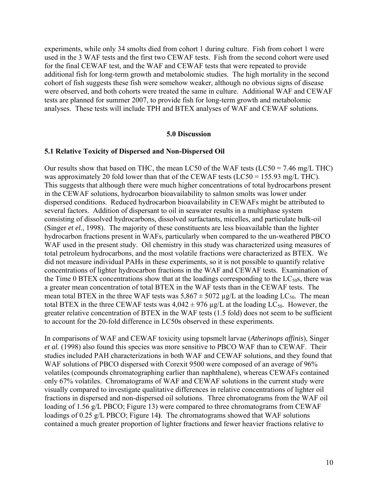experiments, while only 34 smolts died from cohort 1 during culture. Fish from cohort 1 were used in the 3 WAF tests and the first two CEWAF tests. Fish from the second cohort were used for the final CEWAF test, and the WAF and CEWAF tests that were repeated to provide additional fish for long-term growth and metabolomic studies. The high mortality in the second cohort of fish suggests these fish were somehow weaker, although no obvious signs of disease were observed, and both cohorts were treated the same in culture. Additional WAF and CEWAF tests are planned for summer 2007, to provide fish for long-term growth and metabolomic analyses. These tests will include TPH and BTEX analyses of WAF and CEWAF solutions.

#### **5.0 Discussion**

#### **5.1 Relative Toxicity of Dispersed and Non-Dispersed Oil**

Our results show that based on THC, the mean LC50 of the WAF tests (LC50 = 7.46 mg/L THC) was approximately 20 fold lower than that of the CEWAF tests (LC50 = 155.93 mg/L THC). This suggests that although there were much higher concentrations of total hydrocarbons present in the CEWAF solutions, hydrocarbon bioavailability to salmon smolts was lower under dispersed conditions. Reduced hydrocarbon bioavailability in CEWAFs might be attributed to several factors. Addition of dispersant to oil in seawater results in a multiphase system consisting of dissolved hydrocarbons, dissolved surfactants, micelles, and particulate bulk-oil (Singer *et el.,* 1998). The majority of these constituents are less bioavailable than the lighter hydrocarbon fractions present in WAFs, particularly when compared to the un-weathered PBCO WAF used in the present study. Oil chemistry in this study was characterized using measures of total petroleum hydrocarbons, and the most volatile fractions were characterized as BTEX. We did not measure individual PAHs in these experiments, so it is not possible to quantify relative concentrations of lighter hydrocarbon fractions in the WAF and CEWAF tests. Examination of the Time 0 BTEX concentrations show that at the loadings corresponding to the  $LC_{50}$ s, there was a greater mean concentration of total BTEX in the WAF tests than in the CEWAF tests. The mean total BTEX in the three WAF tests was  $5,867 \pm 5072 \,\mu$ g/L at the loading LC<sub>50</sub>. The mean total BTEX in the three CEWAF tests was  $4.042 \pm 976$  µg/L at the loading LC<sub>50</sub>. However, the greater relative concentration of BTEX in the WAF tests (1.5 fold) does not seem to be sufficient to account for the 20-fold difference in LC50s observed in these experiments.

In comparisons of WAF and CEWAF toxicity using topsmelt larvae (*Atherinops affinis*), Singer *et al.* (1998) also found this species was more sensitive to PBCO WAF than to CEWAF. Their studies included PAH characterizations in both WAF and CEWAF solutions, and they found that WAF solutions of PBCO dispersed with Corexit 9500 were composed of an average of 96% volatiles (compounds chromatographing earlier than naphthalene), whereas CEWAFs contained only 67% volatiles. Chromatograms of WAF and CEWAF solutions in the current study were visually compared to investigate qualitative differences in relative concentrations of lighter oil fractions in dispersed and non-dispersed oil solutions. Three chromatograms from the WAF oil loading of 1.56 g/L PBCO; Figure 13) were compared to three chromatograms from CEWAF loadings of 0.25 g/L PBCO; Figure 14**)**. The chromatograms showed that WAF solutions contained a much greater proportion of lighter fractions and fewer heavier fractions relative to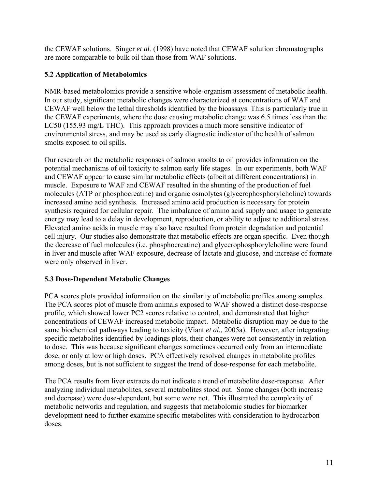the CEWAF solutions. Singer *et al.* (1998) have noted that CEWAF solution chromatographs are more comparable to bulk oil than those from WAF solutions.

# **5.2 Application of Metabolomics**

NMR-based metabolomics provide a sensitive whole-organism assessment of metabolic health. In our study, significant metabolic changes were characterized at concentrations of WAF and CEWAF well below the lethal thresholds identified by the bioassays. This is particularly true in the CEWAF experiments, where the dose causing metabolic change was 6.5 times less than the LC50 (155.93 mg/L THC). This approach provides a much more sensitive indicator of environmental stress, and may be used as early diagnostic indicator of the health of salmon smolts exposed to oil spills.

Our research on the metabolic responses of salmon smolts to oil provides information on the potential mechanisms of oil toxicity to salmon early life stages. In our experiments, both WAF and CEWAF appear to cause similar metabolic effects (albeit at different concentrations) in muscle. Exposure to WAF and CEWAF resulted in the shunting of the production of fuel molecules (ATP or phosphocreatine) and organic osmolytes (glycerophosphorylcholine) towards increased amino acid synthesis. Increased amino acid production is necessary for protein synthesis required for cellular repair. The imbalance of amino acid supply and usage to generate energy may lead to a delay in development, reproduction, or ability to adjust to additional stress. Elevated amino acids in muscle may also have resulted from protein degradation and potential cell injury. Our studies also demonstrate that metabolic effects are organ specific. Even though the decrease of fuel molecules (i.e. phosphocreatine) and glycerophosphorylcholine were found in liver and muscle after WAF exposure, decrease of lactate and glucose, and increase of formate were only observed in liver.

# **5.3 Dose-Dependent Metabolic Changes**

PCA scores plots provided information on the similarity of metabolic profiles among samples. The PCA scores plot of muscle from animals exposed to WAF showed a distinct dose-response profile, which showed lower PC2 scores relative to control, and demonstrated that higher concentrations of CEWAF increased metabolic impact. Metabolic disruption may be due to the same biochemical pathways leading to toxicity (Viant *et al.,* 2005a). However, after integrating specific metabolites identified by loadings plots, their changes were not consistently in relation to dose. This was because significant changes sometimes occurred only from an intermediate dose, or only at low or high doses. PCA effectively resolved changes in metabolite profiles among doses, but is not sufficient to suggest the trend of dose-response for each metabolite.

The PCA results from liver extracts do not indicate a trend of metabolite dose-response. After analyzing individual metabolites, several metabolites stood out. Some changes (both increase and decrease) were dose-dependent, but some were not. This illustrated the complexity of metabolic networks and regulation, and suggests that metabolomic studies for biomarker development need to further examine specific metabolites with consideration to hydrocarbon doses.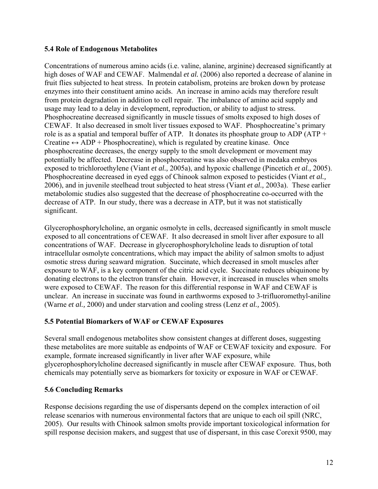## **5.4 Role of Endogenous Metabolites**

Concentrations of numerous amino acids (i.e. valine, alanine, arginine) decreased significantly at high doses of WAF and CEWAF. Malmendal *et al.* (2006) also reported a decrease of alanine in fruit flies subjected to heat stress. In protein catabolism, proteins are broken down by protease enzymes into their constituent amino acids. An increase in amino acids may therefore result from protein degradation in addition to cell repair. The imbalance of amino acid supply and usage may lead to a delay in development, reproduction, or ability to adjust to stress. Phosphocreatine decreased significantly in muscle tissues of smolts exposed to high doses of CEWAF. It also decreased in smolt liver tissues exposed to WAF. Phosphocreatine's primary role is as a spatial and temporal buffer of ATP. It donates its phosphate group to ADP (ATP + Creatine  $\leftrightarrow$  ADP + Phosphocreatine), which is regulated by creatine kinase. Once phosphocreatine decreases, the energy supply to the smolt development or movement may potentially be affected. Decrease in phosphocreatine was also observed in medaka embryos exposed to trichloroethylene (Viant *et al.,* 2005a), and hypoxic challenge (Pincetich *et al.,* 2005). Phosphocreatine decreased in eyed eggs of Chinook salmon exposed to pesticides (Viant *et al.,* 2006), and in juvenile steelhead trout subjected to heat stress (Viant *et al.,* 2003a). These earlier metabolomic studies also suggested that the decrease of phosphocreatine co-occurred with the decrease of ATP. In our study, there was a decrease in ATP, but it was not statistically significant.

Glycerophosphorylcholine, an organic osmolyte in cells, decreased significantly in smolt muscle exposed to all concentrations of CEWAF. It also decreased in smolt liver after exposure to all concentrations of WAF. Decrease in glycerophosphorylcholine leads to disruption of total intracellular osmolyte concentrations, which may impact the ability of salmon smolts to adjust osmotic stress during seaward migration. Succinate, which decreased in smolt muscles after exposure to WAF, is a key component of the citric acid cycle. Succinate reduces ubiquinone by donating electrons to the electron transfer chain. However, it increased in muscles when smolts were exposed to CEWAF. The reason for this differential response in WAF and CEWAF is unclear. An increase in succinate was found in earthworms exposed to 3-trifluoromethyl-aniline (Warne *et al.,* 2000) and under starvation and cooling stress (Lenz *et al.,* 2005).

# **5.5 Potential Biomarkers of WAF or CEWAF Exposures**

Several small endogenous metabolites show consistent changes at different doses, suggesting these metabolites are more suitable as endpoints of WAF or CEWAF toxicity and exposure. For example, formate increased significantly in liver after WAF exposure, while glycerophosphorylcholine decreased significantly in muscle after CEWAF exposure. Thus, both chemicals may potentially serve as biomarkers for toxicity or exposure in WAF or CEWAF.

## **5.6 Concluding Remarks**

Response decisions regarding the use of dispersants depend on the complex interaction of oil release scenarios with numerous environmental factors that are unique to each oil spill (NRC, 2005). Our results with Chinook salmon smolts provide important toxicological information for spill response decision makers, and suggest that use of dispersant, in this case Corexit 9500, may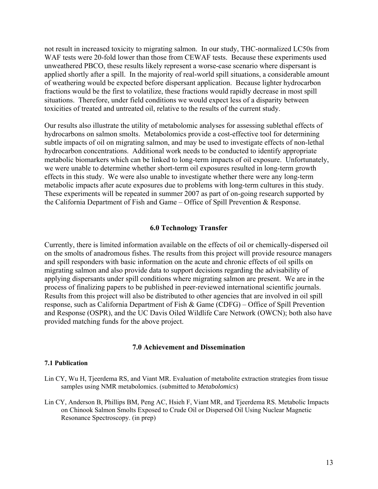not result in increased toxicity to migrating salmon. In our study, THC-normalized LC50s from WAF tests were 20-fold lower than those from CEWAF tests. Because these experiments used unweathered PBCO, these results likely represent a worse-case scenario where dispersant is applied shortly after a spill. In the majority of real-world spill situations, a considerable amount of weathering would be expected before dispersant application. Because lighter hydrocarbon fractions would be the first to volatilize, these fractions would rapidly decrease in most spill situations. Therefore, under field conditions we would expect less of a disparity between toxicities of treated and untreated oil, relative to the results of the current study.

Our results also illustrate the utility of metabolomic analyses for assessing sublethal effects of hydrocarbons on salmon smolts. Metabolomics provide a cost-effective tool for determining subtle impacts of oil on migrating salmon, and may be used to investigate effects of non-lethal hydrocarbon concentrations. Additional work needs to be conducted to identify appropriate metabolic biomarkers which can be linked to long-term impacts of oil exposure. Unfortunately, we were unable to determine whether short-term oil exposures resulted in long-term growth effects in this study. We were also unable to investigate whether there were any long-term metabolic impacts after acute exposures due to problems with long-term cultures in this study. These experiments will be repeated in summer 2007 as part of on-going research supported by the California Department of Fish and Game – Office of Spill Prevention & Response.

### **6.0 Technology Transfer**

Currently, there is limited information available on the effects of oil or chemically-dispersed oil on the smolts of anadromous fishes. The results from this project will provide resource managers and spill responders with basic information on the acute and chronic effects of oil spills on migrating salmon and also provide data to support decisions regarding the advisability of applying dispersants under spill conditions where migrating salmon are present. We are in the process of finalizing papers to be published in peer-reviewed international scientific journals. Results from this project will also be distributed to other agencies that are involved in oil spill response, such as California Department of Fish & Game (CDFG) – Office of Spill Prevention and Response (OSPR), and the UC Davis Oiled Wildlife Care Network (OWCN); both also have provided matching funds for the above project.

#### **7.0 Achievement and Dissemination**

#### **7.1 Publication**

- Lin CY, Wu H, Tjeerdema RS, and Viant MR. Evaluation of metabolite extraction strategies from tissue samples using NMR metabolomics. (submitted to *Metabolomics*)
- Lin CY, Anderson B, Phillips BM, Peng AC, Hsieh F, Viant MR, and Tjeerdema RS. Metabolic Impacts on Chinook Salmon Smolts Exposed to Crude Oil or Dispersed Oil Using Nuclear Magnetic Resonance Spectroscopy. (in prep)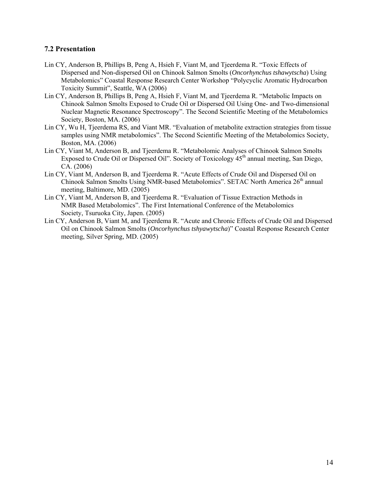### **7.2 Presentation**

- Lin CY, Anderson B, Phillips B, Peng A, Hsieh F, Viant M, and Tjeerdema R. "Toxic Effects of Dispersed and Non-dispersed Oil on Chinook Salmon Smolts (*Oncorhynchus tshawytscha*) Using Metabolomics" Coastal Response Research Center Workshop "Polycyclic Aromatic Hydrocarbon Toxicity Summit", Seattle, WA (2006)
- Lin CY, Anderson B, Phillips B, Peng A, Hsieh F, Viant M, and Tjeerdema R. "Metabolic Impacts on Chinook Salmon Smolts Exposed to Crude Oil or Dispersed Oil Using One- and Two-dimensional Nuclear Magnetic Resonance Spectroscopy". The Second Scientific Meeting of the Metabolomics Society, Boston, MA. (2006)
- Lin CY, Wu H, Tjeerdema RS, and Viant MR. "Evaluation of metabolite extraction strategies from tissue samples using NMR metabolomics". The Second Scientific Meeting of the Metabolomics Society, Boston, MA. (2006)
- Lin CY, Viant M, Anderson B, and Tjeerdema R. "Metabolomic Analyses of Chinook Salmon Smolts Exposed to Crude Oil or Dispersed Oil". Society of Toxicology  $45<sup>th</sup>$  annual meeting, San Diego, CA. (2006)
- Lin CY, Viant M, Anderson B, and Tjeerdema R. "Acute Effects of Crude Oil and Dispersed Oil on Chinook Salmon Smolts Using NMR-based Metabolomics". SETAC North America  $26<sup>th</sup>$  annual meeting, Baltimore, MD. (2005)
- Lin CY, Viant M, Anderson B, and Tjeerdema R. "Evaluation of Tissue Extraction Methods in NMR Based Metabolomics". The First International Conference of the Metabolomics Society, Tsuruoka City, Japen. (2005)
- Lin CY, Anderson B, Viant M, and Tjeerdema R. "Acute and Chronic Effects of Crude Oil and Dispersed Oil on Chinook Salmon Smolts (*Oncorhynchus tshyawytscha*)" Coastal Response Research Center meeting, Silver Spring, MD. (2005)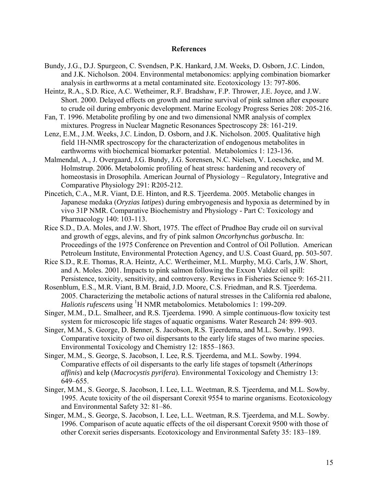#### **References**

- Bundy, J.G., D.J. Spurgeon, C. Svendsen, P.K. Hankard, J.M. Weeks, D. Osborn, J.C. Lindon, and J.K. Nicholson. 2004. Environmental metabonomics: applying combination biomarker analysis in earthworms at a metal contaminated site. Ecotoxicology 13: 797-806.
- Heintz, R.A., S.D. Rice, A.C. Wetheimer, R.F. Bradshaw, F.P. Thrower, J.E. Joyce, and J.W. Short. 2000. Delayed effects on growth and marine survival of pink salmon after exposure to crude oil during embryonic development. Marine Ecology Progress Series 208: 205-216.
- Fan, T. 1996. Metabolite profiling by one and two dimensional NMR analysis of complex mixtures. Progress in Nuclear Magnetic Resonances Spectroscopy 28: 161-219.
- Lenz, E.M., J.M. Weeks, J.C. Lindon, D. Osborn, and J.K. Nicholson. 2005. Qualitative high field 1H-NMR spectroscopy for the characterization of endogenous metabolites in earthworms with biochemical biomarker potential. Metabolomics 1: 123-136.
- Malmendal, A., J. Overgaard, J.G. Bundy, J.G. Sorensen, N.C. Nielsen, V. Loeschcke, and M. Holmstrup. 2006. Metabolomic profiling of heat stress: hardening and recovery of homeostasis in Drosophila. American Journal of Physiology – Regulatory, Integrative and Comparative Physiology 291: R205-212.
- Pincetich, C.A., M.R. Viant, D.E. Hinton, and R.S. Tjeerdema. 2005. Metabolic changes in Japanese medaka (*Oryzias latipes*) during embryogenesis and hypoxia as determined by in vivo 31P NMR. Comparative Biochemistry and Physiology - Part C: Toxicology and Pharmacology 140: 103-113.
- Rice S.D., D.A. Moles, and J.W. Short, 1975. The effect of Prudhoe Bay crude oil on survival and growth of eggs, alevins, and fry of pink salmon *Oncorhynchus gorbuscha*. In: Proceedings of the 1975 Conference on Prevention and Control of Oil Pollution. American Petroleum Institute, Environmental Protection Agency, and U.S. Coast Guard, pp. 503-507.
- Rice S.D., R.E. Thomas, R.A. Heintz, A.C. Wertheimer, M.L. Murphy, M.G. Carls, J.W. Short, and A. Moles. 2001. Impacts to pink salmon following the Exxon Valdez oil spill: Persistence, toxicity, sensitivity, and controversy. Reviews in Fisheries Science 9: 165-211.
- Rosenblum, E.S., M.R. Viant, B.M. Braid, J.D. Moore, C.S. Friedman, and R.S. Tjeerdema. 2005. Characterizing the metabolic actions of natural stresses in the California red abalone, Haliotis rufescens using <sup>1</sup>H NMR metabolomics. Metabolomics 1: 199-209.
- Singer, M.M., D.L. Smalheer, and R.S. Tjeerdema. 1990. A simple continuous-flow toxicity test system for microscopic life stages of aquatic organisms. Water Research 24: 899–903.
- Singer, M.M., S. George, D. Benner, S. Jacobson, R.S. Tjeerdema, and M.L. Sowby. 1993. Comparative toxicity of two oil dispersants to the early life stages of two marine species. Environmental Toxicology and Chemistry 12: 1855–1863.
- Singer, M.M., S. George, S. Jacobson, I. Lee, R.S. Tjeerdema, and M.L. Sowby. 1994. Comparative effects of oil dispersants to the early life stages of topsmelt (*Atherinops affinis*) and kelp (*Macrocystis pyrifera*). Environmental Toxicology and Chemistry 13: 649–655.
- Singer, M.M., S. George, S. Jacobson, I. Lee, L.L. Weetman, R.S. Tjeerdema, and M.L. Sowby. 1995. Acute toxicity of the oil dispersant Corexit 9554 to marine organisms. Ecotoxicology and Environmental Safety 32: 81–86.
- Singer, M.M., S. George, S. Jacobson, I. Lee, L.L. Weetman, R.S. Tjeerdema, and M.L. Sowby. 1996. Comparison of acute aquatic effects of the oil dispersant Corexit 9500 with those of other Corexit series dispersants. Ecotoxicology and Environmental Safety 35: 183–189.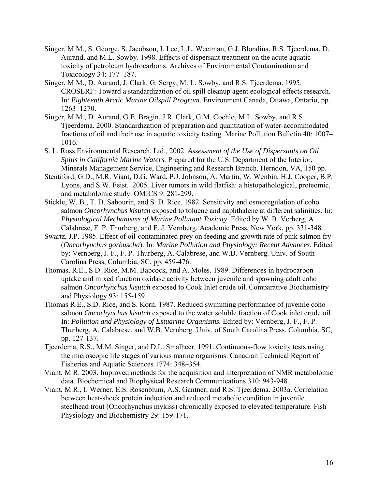- Singer, M.M., S. George, S. Jacobson, I. Lee, L.L. Weetman, G.J. Blondina, R.S. Tjeerdema, D. Aurand, and M.L. Sowby. 1998. Effects of dispersant treatment on the acute aquatic toxicity of petroleum hydrocarbons. Archives of Environmental Contamination and Toxicology 34: 177–187.
- Singer, M.M., D. Aurand, J. Clark, G. Sergy, M. L. Sowby, and R.S. Tjeerdema. 1995. CROSERF: Toward a standardization of oil spill cleanup agent ecological effects research. In: *Eighteenth Arctic Marine Oilspill Program.* Environment Canada, Ottawa, Ontario, pp. 1263–1270.
- Singer, M.M., D. Aurand, G.E. Bragin, J.R. Clark, G.M. Coehlo, M.L. Sowby, and R.S. Tjeerdema. 2000. Standardization of preparation and quantitation of water-accommodated fractions of oil and their use in aquatic toxicity testing. Marine Pollution Bulletin 40: 1007– 1016.
- S. L. Ross Environmental Research, Ltd., 2002. *Assessment of the Use of Dispersants on Oil Spills in California Marine Waters.* Prepared for the U.S. Department of the Interior, Minerals Management Service, Engineering and Research Branch. Herndon, VA, 150 pp.
- Stentiford, G.D., M.R. Viant, D.G. Ward, P.J. Johnson, A. Martin, W. Wenbin, H.J. Cooper, B.P. Lyons, and S.W. Feist. 2005. Liver tumors in wild flatfish: a histopathological, proteomic, and metabolomic study. OMICS 9: 281-299.
- Stickle, W. B., T. D. Sabourin, and S. D. Rice. 1982. Sensitivity and osmoregulation of coho salmon *Oncorhynchus kisutch* exposed to toluene and naphthalene at different salinities. In: *Physiological Mechanisms of Marine Pollutant Toxicity*. Edited by W. B. Verberg, A Calabrese, F. P. Thurberg, and F. J. Vernberg. Academic Press, New York, pp. 331-348.
- Swartz, J.P. 1985. Effect of oil-contaminated prey on feeding and growth rate of pink salmon fry (*Oncorhynchus gorbuscha*). In: *Marine Pollution and Physiology: Recent Advances.* Edited by: Vernberg, J. F., F. P. Thurberg, A. Calabrese, and W.B. Vernberg. Univ. of South Carolina Press, Columbia, SC, pp. 459-476.
- Thomas, R.E., S D. Rice, M.M. Babcock, and A. Moles. 1989. Differences in hydrocarbon uptake and mixed function oxidase activity between juvenile and spawning adult coho salmon *Oncorhynchus kisutch* exposed to Cook Inlet crude oil. Comparative Biochemistry and Physiology 93: 155-159.
- Thomas R.E., S.D. Rice, and S. Korn. 1987. Reduced swimming performance of juvenile coho salmon *Oncorhynchus kisutch* exposed to the water soluble fraction of Cook inlet crude oil. In: *Pollution and Physiology of Estuarine Organisms.* Edited by: Vernberg, J. F., F. P. Thurberg, A. Calabrese, and W.B. Vernberg. Univ. of South Carolina Press, Columbia, SC, pp. 127-137.
- Tjeerdema, R.S., M.M. Singer, and D.L. Smalheer. 1991. Continuous-flow toxicity tests using the microscopic life stages of various marine organisms. Canadian Technical Report of Fisheries and Aquatic Sciences 1774: 348–354.
- Viant, M.R. 2003. Improved methods for the acquisition and interpretation of NMR metabolomic data. Biochemical and Biophysical Research Communications 310: 943-948.
- Viant, M.R., I. Werner, E.S. Rosenblum, A.S. Gantner, and R.S. Tjeerdema. 2003a. Correlation between heat-shock protein induction and reduced metabolic condition in juvenile steelhead trout (Oncorhynchus mykiss) chronically exposed to elevated temperature. Fish Physiology and Biochemistry 29: 159-171.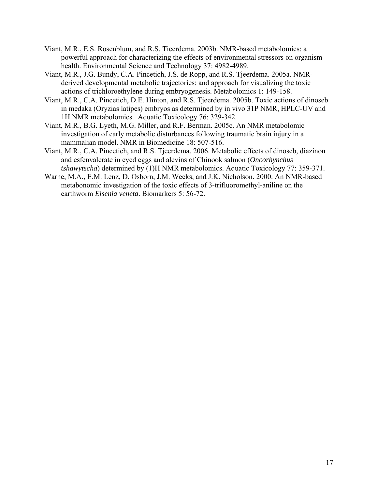- Viant, M.R., E.S. Rosenblum, and R.S. Tieerdema. 2003b. NMR-based metabolomics: a powerful approach for characterizing the effects of environmental stressors on organism health. Environmental Science and Technology 37: 4982-4989.
- Viant, M.R., J.G. Bundy, C.A. Pincetich, J.S. de Ropp, and R.S. Tjeerdema. 2005a. NMRderived developmental metabolic trajectories: and approach for visualizing the toxic actions of trichloroethylene during embryogenesis. Metabolomics 1: 149-158.
- Viant, M.R., C.A. Pincetich, D.E. Hinton, and R.S. Tjeerdema. 2005b. Toxic actions of dinoseb in medaka (Oryzias latipes) embryos as determined by in vivo 31P NMR, HPLC-UV and 1H NMR metabolomics. Aquatic Toxicology 76: 329-342.
- Viant, M.R., B.G. Lyeth, M.G. Miller, and R.F. Berman. 2005c. An NMR metabolomic investigation of early metabolic disturbances following traumatic brain injury in a mammalian model. NMR in Biomedicine 18: 507-516.
- Viant, M.R., C.A. Pincetich, and R.S. Tjeerdema. 2006. Metabolic effects of dinoseb, diazinon and esfenvalerate in eyed eggs and alevins of Chinook salmon (*Oncorhynchus tshawytscha*) determined by (1)H NMR metabolomics. Aquatic Toxicology 77: 359-371.
- Warne, M.A., E.M. Lenz, D. Osborn, J.M. Weeks, and J.K. Nicholson. 2000. An NMR-based metabonomic investigation of the toxic effects of 3-trifluoromethyl-aniline on the earthworm *Eisenia veneta*. Biomarkers 5: 56-72.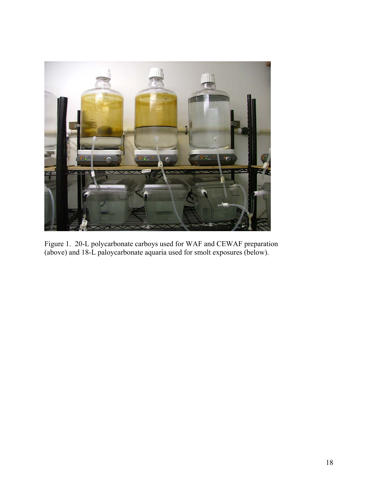

Figure 1. 20-L polycarbonate carboys used for WAF and CEWAF preparation (above) and 18-L paloycarbonate aquaria used for smolt exposures (below).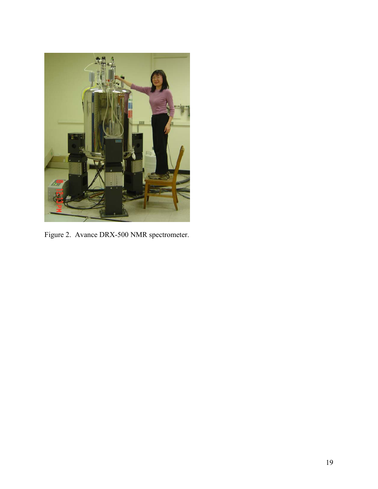

Figure 2. Avance DRX-500 NMR spectrometer.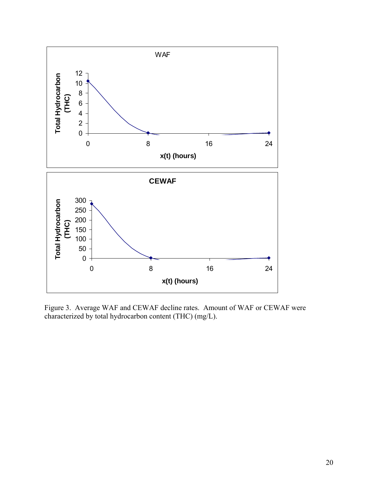

Figure 3. Average WAF and CEWAF decline rates. Amount of WAF or CEWAF were characterized by total hydrocarbon content (THC) (mg/L).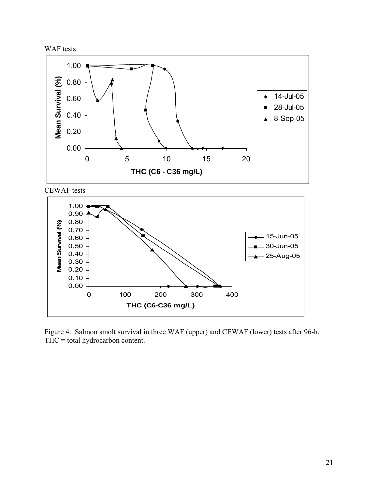



CEWAF tests



Figure 4. Salmon smolt survival in three WAF (upper) and CEWAF (lower) tests after 96-h. THC = total hydrocarbon content.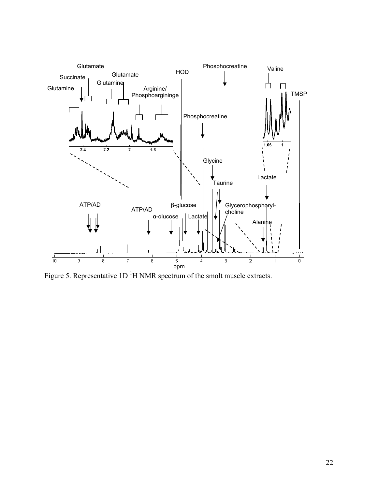

Figure 5. Representative  $1D<sup>1</sup>H NMR$  spectrum of the smolt muscle extracts.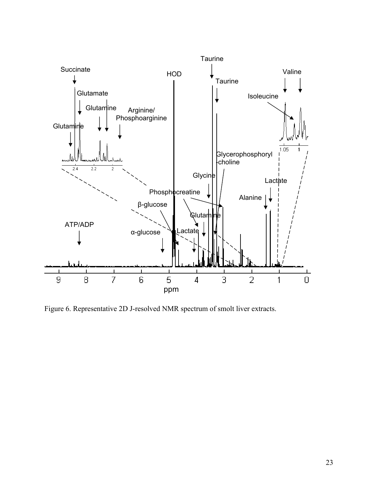

Figure 6. Representative 2D J-resolved NMR spectrum of smolt liver extracts.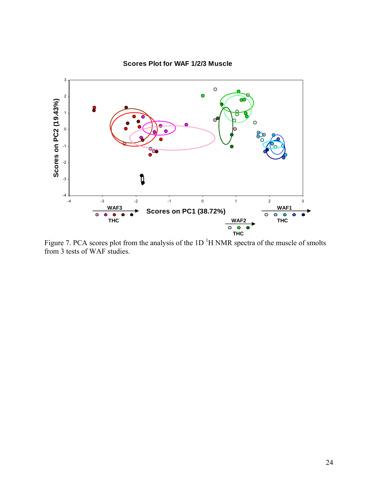

Figure 7. PCA scores plot from the analysis of the  $1D<sup>1</sup>H NMR$  spectra of the muscle of smolts from 3 tests of WAF studies.

#### 24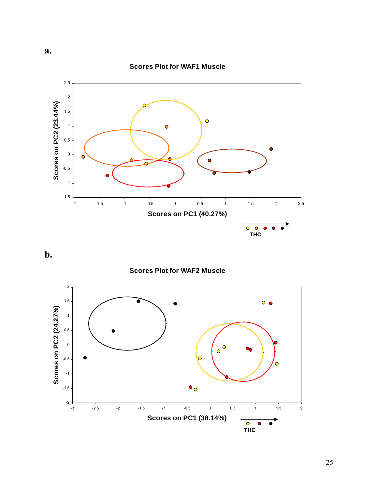



**Scores Plot for WAF2 Muscle**

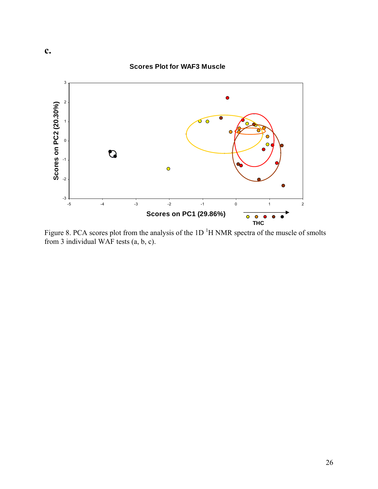

Figure 8. PCA scores plot from the analysis of the  $1D<sup>1</sup>H NMR$  spectra of the muscle of smolts from 3 individual WAF tests (a, b, c).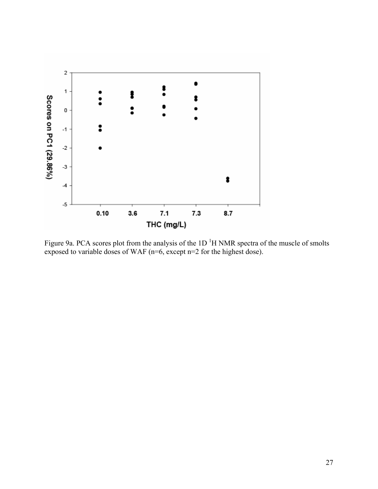

Figure 9a. PCA scores plot from the analysis of the  $1D<sup>1</sup>H NMR$  spectra of the muscle of smolts exposed to variable doses of WAF ( $n=6$ , except  $n=2$  for the highest dose).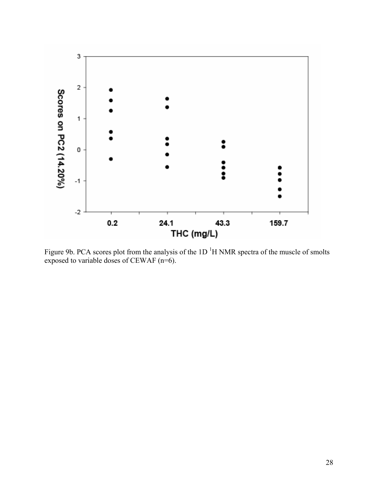

Figure 9b. PCA scores plot from the analysis of the  $1D<sup>1</sup>H NMR$  spectra of the muscle of smolts exposed to variable doses of CEWAF (n=6).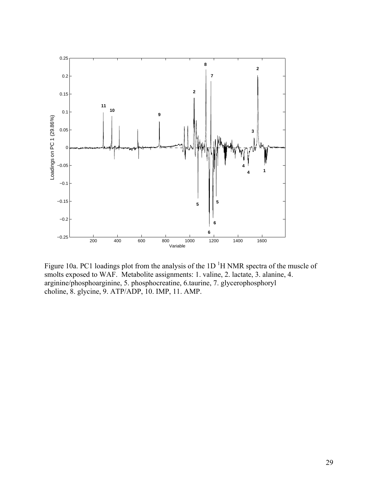

Figure 10a. PC1 loadings plot from the analysis of the 1D  $\rm{^{1}H}$  NMR spectra of the muscle of smolts exposed to WAF. Metabolite assignments: 1. valine, 2. lactate, 3. alanine, 4. arginine/phosphoarginine, 5. phosphocreatine, 6.taurine, 7. glycerophosphoryl choline, 8. glycine, 9. ATP/ADP, 10. IMP, 11. AMP.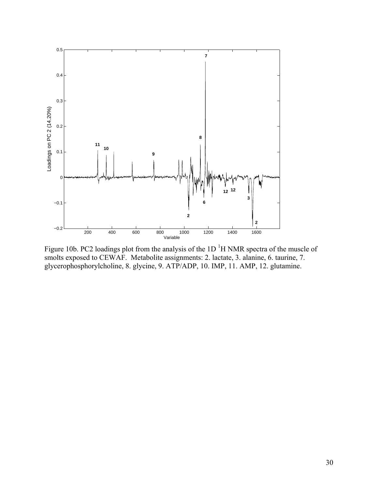

Figure 10b. PC2 loadings plot from the analysis of the  $1D<sup>1</sup>H NMR$  spectra of the muscle of smolts exposed to CEWAF. Metabolite assignments: 2. lactate, 3. alanine, 6. taurine, 7. glycerophosphorylcholine, 8. glycine, 9. ATP/ADP, 10. IMP, 11. AMP, 12. glutamine.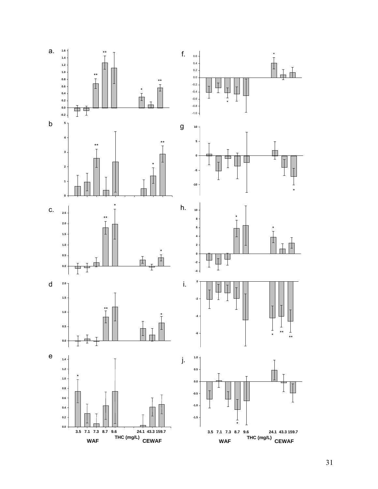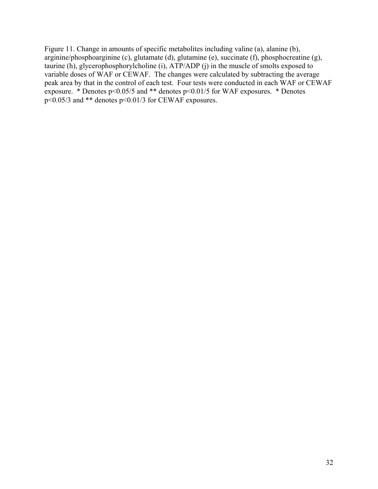Figure 11. Change in amounts of specific metabolites including valine (a), alanine (b), arginine/phosphoarginine (c), glutamate (d), glutamine (e), succinate (f), phosphocreatine (g), taurine (h), glycerophosphorylcholine (i), ATP/ADP (j) in the muscle of smolts exposed to variable doses of WAF or CEWAF. The changes were calculated by subtracting the average peak area by that in the control of each test. Four tests were conducted in each WAF or CEWAF exposure.  $*$  Denotes p<0.05/5 and  $**$  denotes p<0.01/5 for WAF exposures.  $*$  Denotes p<0.05/3 and \*\* denotes p<0.01/3 for CEWAF exposures.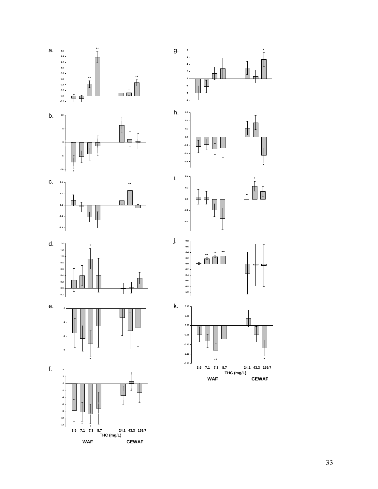

33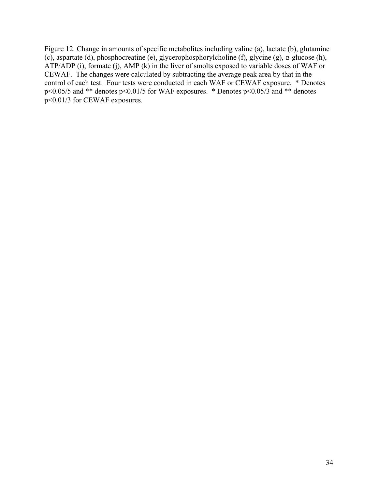Figure 12. Change in amounts of specific metabolites including valine (a), lactate (b), glutamine (c), aspartate (d), phosphocreatine (e), glycerophosphorylcholine (f), glycine (g),  $\alpha$ -glucose (h), ATP/ADP (i), formate (j), AMP (k) in the liver of smolts exposed to variable doses of WAF or CEWAF. The changes were calculated by subtracting the average peak area by that in the control of each test. Four tests were conducted in each WAF or CEWAF exposure. \* Denotes p<0.05/5 and \*\* denotes p<0.01/5 for WAF exposures. \* Denotes p<0.05/3 and \*\* denotes p<0.01/3 for CEWAF exposures.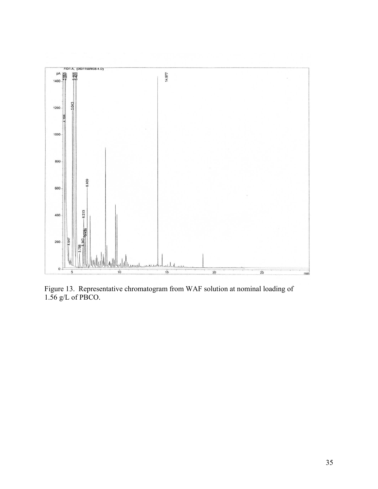

Figure 13. Representative chromatogram from WAF solution at nominal loading of 1.56 g/L of PBCO.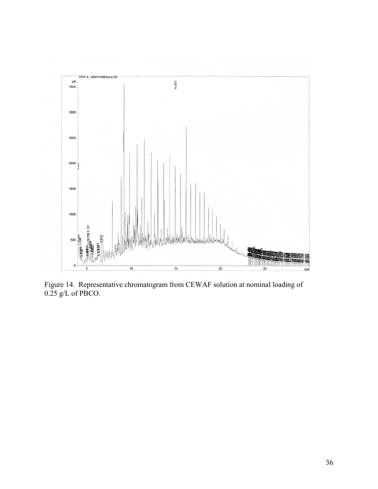

Figure 14. Representative chromatogram from CEWAF solution at nominal loading of 0.25 g/L of PBCO.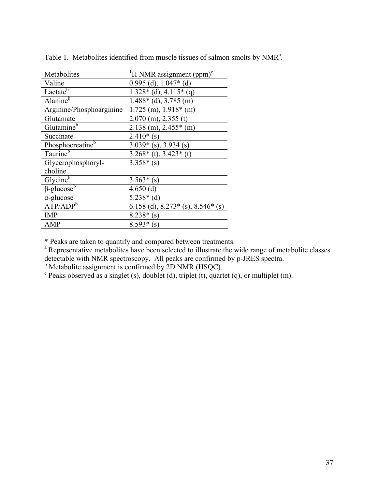| Metabolites                   | <sup>1</sup> H NMR assignment $(ppm)^c$ |
|-------------------------------|-----------------------------------------|
| Valine                        | $0.995$ (d), $1.047*$ (d)               |
| Lactate <sup>b</sup>          | $1.328*(d)$ , $4.115*(q)$               |
| Alanine $\overline{b}$        | $1.488*(d)$ , 3.785 (m)                 |
| Arginine/Phosphoarginine      | $1.725$ (m), $1.918*$ (m)               |
| Glutamate                     | $2.070$ (m), $2.355$ (t)                |
| Glutamine <sup>b</sup>        | $2.138$ (m), $2.455*$ (m)               |
| Succinate                     | $2.410*(s)$                             |
| Phosphocreatine <sup>b</sup>  | $3.039*(s)$ , 3.934 (s)                 |
| Taurine <sup>b</sup>          | $3.268*$ (t), $3.423*$ (t)              |
| Glycerophosphoryl-            | $3.358*(s)$                             |
| choline                       |                                         |
| Glycine <sup>b</sup>          | $3.563*(s)$                             |
| $\beta$ -glucose <sup>b</sup> | 4.650(d)                                |
| $\alpha$ -glucose             | $5.238*(d)$                             |
| ATP/ADP <sup>b</sup>          | 6.158 (d), $8.273*(s)$ , $8.546*(s)$    |
| <b>IMP</b>                    | $8.238*(s)$                             |
| AMP                           | $8.593*(s)$                             |

Table 1. Metabolites identified from muscle tissues of salmon smolts by NMR<sup>a</sup>.

\* Peaks are taken to quantify and compared between treatments. a

<sup>a</sup> Representative metabolites have been selected to illustrate the wide range of metabolite classes detectable with NMR spectroscopy. All peaks are confirmed by p-JRES spectra.

<sup>b</sup> Metabolite assignment is confirmed by 2D NMR (HSQC).

 $\degree$  Peaks observed as a singlet (s), doublet (d), triplet (t), quartet (q), or multiplet (m).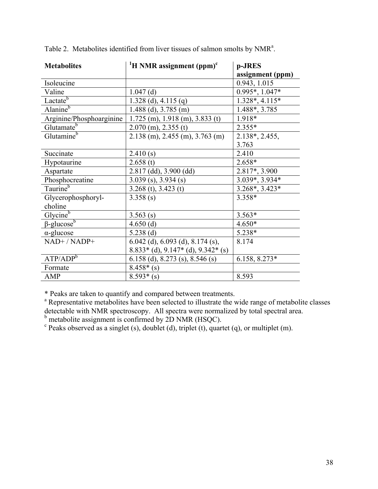| <b>Metabolites</b>            | <sup>1</sup> H NMR assignment (ppm) <sup>c</sup> | p-JRES                |  |  |
|-------------------------------|--------------------------------------------------|-----------------------|--|--|
|                               |                                                  | assignment (ppm)      |  |  |
| Isoleucine                    |                                                  | 0.943, 1.015          |  |  |
| Valine                        | $1.047$ (d)                                      | $0.995*, 1.047*$      |  |  |
| Lactate <sup>b</sup>          | 1.328 (d), 4.115 (q)                             | 1.328*, 4.115*        |  |  |
| Alanine <sup>b</sup>          | $1.488$ (d), $3.785$ (m)                         | 1.488*, 3.785         |  |  |
| Arginine/Phosphoarginine      | $1.725$ (m), $1.918$ (m), $3.833$ (t)            | 1.918*                |  |  |
| Glutamate <sup>b</sup>        | $2.070$ (m), $2.355$ (t)                         | $2.355*$              |  |  |
| Glutamine <sup>b</sup>        | $2.138$ (m), $2.455$ (m), $3.763$ (m)            | 2.138*, 2.455,        |  |  |
|                               |                                                  | 3.763                 |  |  |
| Succinate                     | 2.410(s)                                         | 2.410                 |  |  |
| Hypotaurine                   | 2.658(t)                                         | $2.658*$              |  |  |
| Aspartate                     | 2.817 (dd), 3.900 (dd)                           | $2.817*, 3.900$       |  |  |
| Phosphocreatine               | $3.039$ (s), $3.934$ (s)                         | $3.039^*$ , $3.934^*$ |  |  |
| Taurine <sup>b</sup>          | $3.268$ (t), $3.423$ (t)                         | $3.268*, 3.423*$      |  |  |
| Glycerophosphoryl-            | $3.358$ (s)                                      | $3.358*$              |  |  |
| choline                       |                                                  |                       |  |  |
| Glycine <sup>b</sup>          | $3.563$ (s)                                      | $3.563*$              |  |  |
| $\beta$ -glucose <sup>b</sup> | 4.650(d)                                         | $4.650*$              |  |  |
| $\alpha$ -glucose             | $5.238$ (d)                                      | 5.238*                |  |  |
| NAD+/NADP+                    | $6.042$ (d), $6.093$ (d), $8.174$ (s),           | 8.174                 |  |  |
|                               | $8.833*(d)$ , 9.147* (d), 9.342* (s)             |                       |  |  |
| ATP/ADP <sup>b</sup>          | 6.158 (d), 8.273 (s), 8.546 (s)                  | 6.158, 8.273*         |  |  |
| Formate                       | $8.458*(s)$                                      |                       |  |  |
| AMP                           | $8.593*(s)$                                      | 8.593                 |  |  |

Table 2. Metabolites identified from liver tissues of salmon smolts by NMR<sup>a</sup>.

\* Peaks are taken to quantify and compared between treatments. a

<sup>a</sup> Representative metabolites have been selected to illustrate the wide range of metabolite classes detectable with NMR spectroscopy. All spectra were normalized by total spectral area.<br><sup>b</sup> metabolite assignment is confirmed by 2D NMR (HSQC).

 $\epsilon$  Peaks observed as a singlet (s), doublet (d), triplet (t), quartet (q), or multiplet (m).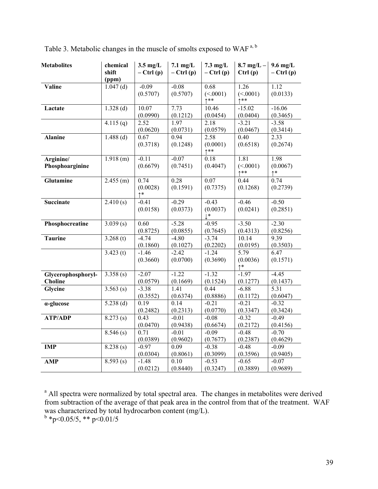| <b>Metabolites</b> | chemical<br>shift      | $3.5$ mg/L<br>$-$ Ctrl (p) | $7.1 \text{ mg/L}$<br>$-$ Ctrl (p) | $7.3$ mg/L<br>$-$ Ctrl (p) | $8.7 \text{ mg/L} -$<br>Ctrl (p) | $9.6$ mg/L<br>$-$ Ctrl (p) |
|--------------------|------------------------|----------------------------|------------------------------------|----------------------------|----------------------------------|----------------------------|
|                    | (ppm)                  |                            |                                    |                            |                                  |                            |
| <b>Valine</b>      | $1.047$ (d)            | $-0.09$                    | $-0.08$                            | 0.68                       | 1.26                             | 1.12                       |
|                    |                        | (0.5707)                   | (0.5707)                           | (<.0001)<br>$*^{**}$       | (<.0001)<br>1**                  | (0.0133)                   |
| Lactate            | 1.328(d)               | 10.07                      | 7.73                               | 10.46                      | $-15.02$                         | $-16.06$                   |
|                    |                        | (0.0990)                   | (0.1212)                           | (0.0454)                   | (0.0404)                         | (0.3465)                   |
|                    | 4.115(q)               | $\overline{2.52}$          | 1.97                               | 2.18                       | $-3.21$                          | $-3.58$                    |
|                    |                        | (0.0620)                   | (0.0731)                           | (0.0579)                   | (0.0467)                         | (0.3414)                   |
| <b>Alanine</b>     | $1.488$ (d)            | 0.67                       | 0.94                               | 2.58                       | 0.40                             | 2.33                       |
|                    |                        | (0.3718)                   | (0.1248)                           | (0.0001)<br>$+ * *$        | (0.6518)                         | (0.2674)                   |
| Arginine/          | $1.918$ (m)            | $-0.11$                    | $-0.07$                            | 0.18                       | 1.81                             | 1.98                       |
| Phosphoarginine    |                        | (0.6679)                   | (0.7451)                           | (0.4047)                   | (<.0001)                         | (0.0067)                   |
|                    |                        |                            |                                    |                            | $^*$                             | $\uparrow^*$               |
| Glutamine          | $2.455$ (m)            | 0.74                       | 0.28                               | 0.07                       | 0.44                             | 0.74                       |
|                    |                        | (0.0028)<br>$\uparrow^*$   | (0.1591)                           | (0.7375)                   | (0.1268)                         | (0.2739)                   |
| <b>Succinate</b>   | 2.410(s)               | $-0.41$                    | $-0.29$                            | $-0.43$                    | $-0.46$                          | $-0.50$                    |
|                    |                        | (0.0158)                   | (0.0373)                           | (0.0037)<br>$\mathbf{I}^*$ | (0.0241)                         | (0.2851)                   |
| Phosphocreatine    | 3.039(s)               | 0.60                       | $-5.28$                            | $-0.95$                    | $-3.50$                          | $-2.30$                    |
|                    |                        | (0.8725)                   | (0.0855)                           | (0.7645)                   | (0.4313)                         | (0.8256)                   |
| <b>Taurine</b>     | 3.268(t)               | $-4.74$                    | $-4.80$                            | $-3.74$                    | 10.14                            | 9.39                       |
|                    |                        | (0.1860)                   | (0.1027)                           | (0.2202)                   | (0.0195)                         | (0.3503)                   |
|                    | $\overline{3.423}$ (t) | $-1.46$                    | $-2.42$                            | $-1.24$                    | $\overline{5.79}$                | 6.47                       |
|                    |                        | (0.3660)                   | (0.0700)                           | (0.3690)                   | (0.0036)<br>$\uparrow^*$         | (0.1571)                   |
| Glycerophosphoryl- | 3.358(s)               | $-2.07$                    | $-1.22$                            | $-1.32$                    | $-1.97$                          | $-4.45$                    |
| <b>Choline</b>     |                        | (0.0579)                   | (0.1669)                           | (0.1524)                   | (0.1277)                         | (0.1437)                   |
| Glycine            | 3.563(s)               | $-3.38$                    | 1.41                               | 0.44                       | $-6.88$                          | 5.31                       |
|                    |                        | (0.3552)                   | (0.6374)                           | (0.8886)                   | (0.1172)                         | (0.6047)                   |
| a-glucose          | 5.238 $(d)$            | 0.19                       | 0.14                               | $-0.21$                    | $-0.21$                          | $-0.32$                    |
|                    |                        | (0.2482)                   | (0.2313)                           | (0.0770)                   | (0.3347)                         | (0.3424)                   |
| <b>ATP/ADP</b>     | $\sqrt{8.273}$ (s)     | 0.43                       | $-0.01$                            | $-0.08$                    | $-0.32$                          | $-0.49$                    |
|                    |                        | (0.0470)                   | (0.9438)                           | (0.6674)                   | (0.2172)                         | (0.4156)                   |
|                    | 8.546(s)               | 0.71                       | $-0.01$                            | $-0.09$                    | $-0.48$                          | $-0.70$                    |
|                    |                        | (0.0389)                   | (0.9602)                           | (0.7677)                   | (0.2387)                         | (0.4629)                   |
| <b>IMP</b>         | $\sqrt{8.238}$ (s)     | $-0.97$                    | 0.09                               | $-0.38$                    | $-0.48$                          | $-0.09$                    |
|                    |                        | (0.0304)                   | (0.8061)                           | (0.3099)                   | (0.3596)                         | (0.9405)                   |
| <b>AMP</b>         | $\frac{8.593}{(s)}$    | $-1.48$                    | 0.10                               | $-0.53$                    | $-0.65$                          | $-0.07$                    |
|                    |                        | (0.0212)                   | (0.8440)                           | (0.3247)                   | (0.3889)                         | (0.9689)                   |

Table 3. Metabolic changes in the muscle of smolts exposed to WAF a, b

<sup>a</sup> All spectra were normalized by total spectral area. The changes in metabolites were derived from subtraction of the average of that peak area in the control from that of the treatment. WAF was characterized by total hydrocarbon content (mg/L).<br>  $^{\text{b}}$  \*p<0.05/5, \*\* p<0.01/5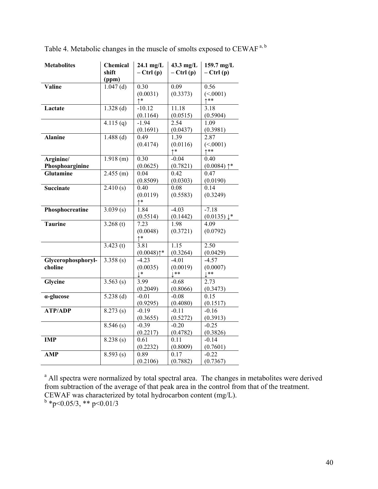| <b>Metabolites</b> | Chemical<br>shift | $24.1$ mg/L<br>$-$ Ctrl (p) | 43.3 mg/L<br>$-$ Ctrl (p) | 159.7 mg/L<br>$-$ Ctrl (p) |  |
|--------------------|-------------------|-----------------------------|---------------------------|----------------------------|--|
|                    | (ppm)             |                             |                           |                            |  |
| Valine             | $1.047$ (d)       | 0.30                        | 0.09                      | 0.56                       |  |
|                    |                   | (0.0031)                    | (0.3373)                  | (<.0001)                   |  |
|                    |                   | $\uparrow^*$                |                           | $*^{**}$                   |  |
| Lactate            | $1.328$ (d)       | $-10.12$                    | 11.18                     | 3.18                       |  |
|                    |                   | (0.1164)                    | (0.0515)                  | (0.5904)                   |  |
|                    | 4.115(q)          | $-1.94$                     | 2.54                      | 1.09                       |  |
|                    |                   | (0.1691)                    | (0.0437)                  | (0.3981)                   |  |
| <b>Alanine</b>     | 1.488(d)          | 0.49                        | 1.39                      | 2.87                       |  |
|                    |                   | (0.4174)                    | (0.0116)                  | (<.0001)                   |  |
|                    |                   |                             | $\uparrow^*$              | ↑**                        |  |
| Arginine/          | 1.918(m)          | 0.30                        | $-0.04$                   | 0.40                       |  |
| Phosphoarginine    |                   | (0.0625)                    | (0.7821)                  | $(0.0084)$ 1 <sup>*</sup>  |  |
| Glutamine          | $2.455$ (m)       | 0.04                        | 0.42                      | 0.47                       |  |
|                    |                   | (0.8509)                    | (0.0303)                  | (0.0190)                   |  |
| <b>Succinate</b>   | 2.410(s)          | 0.40                        | 0.08                      | 0.14                       |  |
|                    |                   | (0.0119)                    | (0.5583)                  | (0.3249)                   |  |
|                    |                   | $\uparrow^*$                |                           |                            |  |
| Phosphocreatine    | 3.039(s)          | 1.84                        | $-4.03$                   | $-7.18$                    |  |
|                    |                   | (0.5514)                    | (0.1442)                  | $(0.0135)$ $\downarrow$ *  |  |
| <b>Taurine</b>     | 3.268(t)          | 7.23                        | 1.98                      | $4.\overline{09}$          |  |
|                    |                   | (0.0048)<br>$\uparrow^*$    | (0.3721)                  | (0.0792)                   |  |
|                    | 3.423(t)          | 3.81                        | 1.15                      | 2.50                       |  |
|                    |                   | $(0.0048)$ <sup>*</sup>     | (0.3264)                  | (0.0429)                   |  |
| Glycerophosphoryl- | 3.358(s)          | $-4.23$                     | $-4.01$                   | $-4.57$                    |  |
| choline            |                   | (0.0035)                    | (0.0019)                  | (0.0007)                   |  |
|                    |                   | $\downarrow^*$              | $l^{**}$                  | $ **$                      |  |
| Glycine            | $3.563$ (s)       | 3.99                        | $-0.68$                   | 2.73                       |  |
|                    |                   | (0.2049)                    | (0.8066)                  | (0.3473)                   |  |
| α-glucose          | $5.238$ (d)       | $-0.01$                     | $-0.08$                   | 0.15                       |  |
|                    |                   | (0.9295)                    | (0.4080)                  | (0.1517)                   |  |
| <b>ATP/ADP</b>     | 8.273(s)          | $-0.19$                     | $-0.11$                   | $-0.16$                    |  |
|                    |                   | (0.3655)                    | (0.5272)                  | (0.3913)                   |  |
|                    | 8.546(s)          | $-0.39$                     | $-0.20$                   | $-0.25$                    |  |
|                    |                   | (0.2217)                    | (0.4782)                  | (0.3826)                   |  |
| <b>IMP</b>         | 8.238(s)          | 0.61                        | 0.11                      | $-0.14$                    |  |
|                    |                   | (0.2232)                    | (0.8009)                  | (0.7601)                   |  |
| <b>AMP</b>         | 8.593(s)          | 0.89                        | 0.17                      | $-0.22$                    |  |
|                    |                   | (0.2106)                    | (0.7882)                  | (0.7367)                   |  |

Table 4. Metabolic changes in the muscle of smolts exposed to CEWAF a, b

<sup>a</sup> All spectra were normalized by total spectral area. The changes in metabolites were derived from subtraction of the average of that peak area in the control from that of the treatment. CEWAF was characterized by total hydrocarbon content (mg/L).<br><sup>b</sup> \*p<0.05/3, \*\* p<0.01/3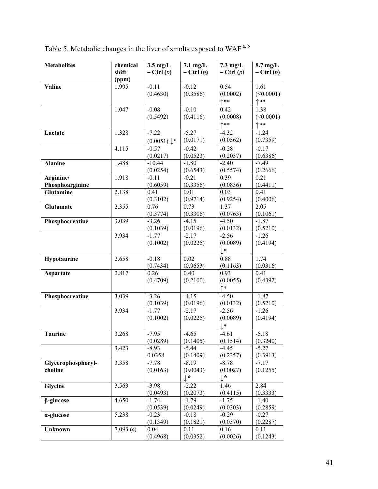| <b>Metabolites</b>            | chemical<br>shift<br>(ppm) | $3.5 \text{ mg/L}$<br>$-$ Ctrl $(p)$ | $7.1 \text{ mg/L}$<br>$-$ Ctrl $(p)$ | $7.3 \text{ mg/L}$<br>$-$ Ctrl $(p)$ | $8.7 \text{ mg/L}$<br>$-$ Ctrl $(p)$ |
|-------------------------------|----------------------------|--------------------------------------|--------------------------------------|--------------------------------------|--------------------------------------|
| Valine                        | 0.995                      | $-0.11$<br>(0.4630)                  | $-0.12$<br>(0.3586)                  | 0.54<br>(0.0002)<br>↑**              | 1.61<br>(<0.0001)<br>↑**             |
|                               | 1.047                      | $-0.08$<br>(0.5492)                  | $-0.10$<br>(0.4116)                  | 0.42<br>(0.0008)                     | 1.38<br>(<0.0001)                    |
| Lactate                       | 1.328                      | $-7.22$                              | $-5.27$                              | ↑**<br>$-4.32$                       | ↑**<br>$-1.24$                       |
|                               | 4.115                      | $(0.0051)$ $\downarrow$ *<br>$-0.57$ | (0.0171)<br>$-0.42$                  | (0.0562)<br>$-0.28$                  | (0.7359)<br>$-0.17$                  |
| <b>Alanine</b>                | 1.488                      | (0.0217)<br>$-10.44$                 | (0.0523)<br>$-1.80$                  | (0.2037)<br>$-2.40$                  | (0.6386)<br>$-7.49$                  |
| Arginine/<br>Phosphoarginine  | 1.918                      | (0.0254)<br>$-0.11$<br>(0.6059)      | (0.6543)<br>$-0.21$<br>(0.3356)      | (0.5574)<br>0.39<br>(0.0836)         | (0.2666)<br>0.21<br>(0.4411)         |
| Glutamine                     | 2.138                      | 0.41<br>(0.3102)                     | 0.01<br>(0.9714)                     | 0.03<br>(0.9254)                     | 0.41<br>(0.4006)                     |
| Glutamate                     | 2.355                      | 0.76<br>(0.3774)                     | 0.73<br>(0.3306)                     | 1.37<br>(0.0763)                     | 2.05<br>(0.1061)                     |
| Phosphocreatine               | 3.039                      | $-3.26$<br>(0.1039)                  | $-4.15$<br>(0.0196)                  | $-4.50$<br>(0.0132)                  | $-1.87$<br>(0.5210)                  |
|                               | 3.934                      | $-1.77$<br>(0.1002)                  | $-2.17$<br>(0.0225)                  | $-2.56$<br>(0.0089)<br>$\ast$        | $-1.26$<br>(0.4194)                  |
| Hypotaurine                   | 2.658                      | $-0.18$<br>(0.7434)                  | 0.02<br>(0.9653)                     | 0.88<br>(0.1163)                     | 1.74<br>(0.0316)                     |
| <b>Aspartate</b>              | 2.817                      | 0.26<br>(0.4709)                     | 0.40<br>(0.2100)                     | 0.93<br>(0.0055)<br>↑*               | 0.41<br>(0.4392)                     |
| Phosphocreatine               | 3.039                      | $-3.26$<br>(0.1039)                  | $-4.15$<br>(0.0196)                  | $-4.50$<br>(0.0132)                  | $-1.87$<br>(0.5210)                  |
|                               | 3.934                      | $-1.77$<br>(0.1002)                  | $-2.17$<br>(0.0225)                  | $-2.56$<br>(0.0089)<br>  ∗           | $-1.26$<br>(0.4194)                  |
| <b>Taurine</b>                | 3.268                      | $-7.95$<br>(0.0289)                  | $-4.65$<br>(0.1405)                  | $-4.61$<br>(0.1514)                  | $-5.18$<br>(0.3240)                  |
|                               | 3.423                      | $-8.93$<br>0.0358                    | $-5.44$<br>(0.1409)                  | $-4.45$<br>(0.2357)                  | $-5.27$<br>(0.3913)                  |
| Glycerophosphoryl-<br>choline | 3.358                      | $-7.78$<br>(0.0163)                  | $-8.19$<br>(0.0043)<br>$\ast$        | $-8.78$<br>(0.0027)<br>$\ast$        | $-7.17$<br>(0.1255)                  |
| Glycine                       | 3.563                      | $-3.98$<br>(0.0493)                  | $-2.22$<br>(0.2073)                  | 1.46<br>(0.4115)                     | 2.84<br>(0.3333)                     |
| $\beta$ -glucose              | 4.650                      | $-1.74$<br>(0.0539)                  | $-1.79$<br>(0.0249)                  | $-1.75$<br>(0.0303)                  | $-1.40$<br>(0.2859)                  |
| a-glucose                     | 5.238                      | $-0.23$<br>(0.1349)                  | $-0.18$<br>(0.1821)                  | $-0.29$<br>(0.0370)                  | $-0.27$<br>(0.2287)                  |
| <b>Unknown</b>                | 7.093(s)                   | 0.04<br>(0.4968)                     | 0.11<br>(0.0352)                     | 0.16<br>(0.0026)                     | 0.11<br>(0.1243)                     |

Table 5. Metabolic changes in the liver of smolts exposed to WAF a, b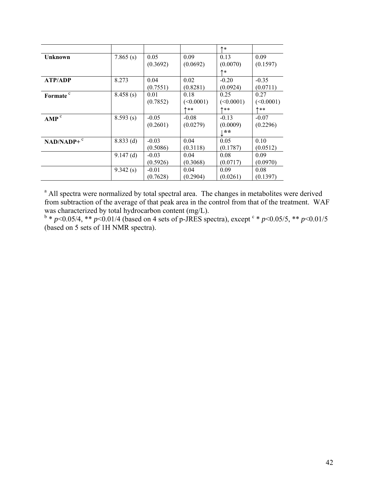|                      |             |                     |                          | ↑*                        |                          |
|----------------------|-------------|---------------------|--------------------------|---------------------------|--------------------------|
| Unknown              | $7.865$ (s) | 0.05<br>(0.3692)    | 0.09<br>(0.0692)         | 0.13<br>(0.0070)<br>↑*    | 0.09<br>(0.1597)         |
| <b>ATP/ADP</b>       | 8.273       | 0.04<br>(0.7551)    | 0.02<br>(0.8281)         | $-0.20$<br>(0.0924)       | $-0.35$<br>(0.0711)      |
| Formate <sup>c</sup> | 8.458(s)    | 0.01<br>(0.7852)    | 0.18<br>(<0.0001)<br>↑** | 0.25<br>(<0.0001)<br>↑**  | 0.27<br>(<0.0001)<br>↑** |
| AMP <sup>c</sup>     | 8.593(s)    | $-0.05$<br>(0.2601) | $-0.08$<br>(0.0279)      | $-0.13$<br>(0.0009)<br>** | $-0.07$<br>(0.2296)      |
| $NAD/NADP+c$         | 8.833(d)    | $-0.03$<br>(0.5086) | 0.04<br>(0.3118)         | 0.05<br>(0.1787)          | 0.10<br>(0.0512)         |
|                      | $9.147$ (d) | $-0.03$<br>(0.5926) | 0.04<br>(0.3068)         | 0.08<br>(0.0717)          | 0.09<br>(0.0970)         |
|                      | 9.342(s)    | $-0.01$<br>(0.7628) | 0.04<br>(0.2904)         | 0.09<br>(0.0261)          | 0.08<br>(0.1397)         |

<sup>a</sup> All spectra were normalized by total spectral area. The changes in metabolites were derived from subtraction of the average of that peak area in the control from that of the treatment. WAF was characterized by total hydrocarbon content (mg/L).<br><sup>b</sup> \* *p*<0.05/4, \*\* *p*<0.01/4 (based on 4 sets of p-JRES spectra), except <sup>c</sup> \* *p*<0.05/5, \*\* *p*<0.01/5

(based on 5 sets of 1H NMR spectra).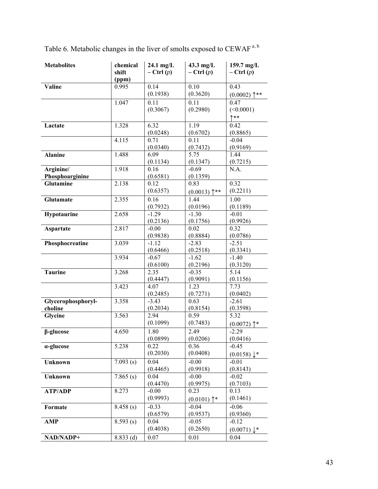| <b>Metabolites</b> | chemical<br>shift<br>(ppm) | 24.1 mg/L<br>$-$ Ctrl $(p)$ | 43.3 mg/L<br>$-$ Ctrl $(p)$ | 159.7 mg/L<br>$-$ Ctrl $(p)$ |
|--------------------|----------------------------|-----------------------------|-----------------------------|------------------------------|
| Valine             | 0.995                      | 0.14                        | 0.10                        | 0.43                         |
|                    |                            | (0.1938)                    | (0.3620)                    | $(0.0002)$ $\uparrow$ **     |
|                    | 1.047                      | 0.11                        | 0.11                        | 0.47                         |
|                    |                            | (0.3067)                    | (0.2980)                    | (<0.0001)                    |
|                    |                            |                             |                             | ↑**                          |
|                    |                            | 6.32                        | 1.19                        | 0.42                         |
| Lactate            | 1.328                      |                             |                             | (0.8865)                     |
|                    | 4.115                      | (0.0248)<br>0.71            | (0.6702)<br>0.11            | $-0.04$                      |
|                    |                            | (0.0340)                    | (0.7432)                    | (0.9169)                     |
| <b>Alanine</b>     | 1.488                      | 6.09                        | 5.75                        | 1.44                         |
|                    |                            | (0.1134)                    | (0.1347)                    | (0.7215)                     |
| Arginine/          | 1.918                      | 0.16                        | $-0.69$                     | N.A.                         |
| Phosphoarginine    |                            | (0.6581)                    | (0.1359)                    |                              |
| Glutamine          | 2.138                      | 0.12                        | 0.83                        | 0.32                         |
|                    |                            | (0.6357)                    | $(0.0013)$ $\uparrow$ **    | (0.2211)                     |
| <b>Glutamate</b>   | 2.355                      | $\overline{0.16}$           | 1.44                        | $\overline{1.00}$            |
|                    |                            | (0.7932)                    | (0.0196)                    | (0.1189)                     |
| Hypotaurine        | 2.658                      | $-1.29$                     | $-1.30$                     | $-0.01$                      |
|                    |                            | (0.2136)                    | (0.1756)                    | (0.9926)                     |
| <b>Aspartate</b>   | 2.817                      | $-0.00$                     | 0.02                        | 0.32                         |
|                    |                            | (0.9838)                    | (0.8884)                    | (0.0786)                     |
| Phosphocreatine    | 3.039                      | $-1.12$                     | $-2.83$                     | $-2.51$                      |
|                    |                            | (0.6466)                    | (0.2518)                    | (0.3341)                     |
|                    | 3.934                      | $-0.67$                     | $-1.62$                     | $-1.40$                      |
|                    |                            | (0.6100)                    | (0.2196)                    | (0.3120)                     |
| <b>Taurine</b>     | 3.268                      | 2.35                        | $-0.35$                     | 5.14                         |
|                    |                            | (0.4447)                    | (0.9091)                    | (0.1156)                     |
|                    | 3.423                      | 4.07                        | 1.23                        | 7.73                         |
|                    |                            | (0.2485)                    | (0.7271)                    | (0.0402)                     |
| Glycerophosphoryl- | 3.358                      | $-3.43$                     | 0.63                        | $-2.61$                      |
| choline            |                            | (0.2034)                    | (0.8154)                    | (0.3598)                     |
| Glycine            | 3.563                      | 2.94                        | 0.59                        | 5.32                         |
|                    |                            | (0.1099)                    | (0.7483)                    | $(0.0072)$ <sup>*</sup>      |
| β-glucose          | 4.650                      | 1.80                        | 2.49                        | $-2.29$                      |
|                    |                            | (0.0899)                    | (0.0206)                    | (0.0416)                     |
| a-glucose          | 5.238                      | 0.22                        | 0.36                        | $-0.45$                      |
|                    |                            | (0.2030)                    | (0.0408)                    | $(0.0158)$ $\downarrow$ *    |
| <b>Unknown</b>     | 7.093(s)                   | 0.04                        | $-0.00$                     | $-0.01$                      |
|                    |                            | (0.4465)                    | (0.9918)                    | (0.8143)                     |
| <b>Unknown</b>     | $7.865$ (s)                | 0.04                        | $-0.00$                     | $-0.02$                      |
|                    |                            | (0.4470)                    | (0.9975)                    | (0.7103)                     |
| <b>ATP/ADP</b>     | 8.273                      | $-0.00$                     | 0.23                        | 0.13                         |
|                    |                            | (0.9993)                    | $(0.0101)$ <sup>*</sup>     | (0.1461)                     |
| Formate            | 8.458(s)                   | $-0.33$                     | $-0.04$                     | $-0.06$                      |
|                    |                            | (0.6579)                    | (0.9537)                    | (0.9360)                     |
| <b>AMP</b>         | 8.593(s)                   | 0.04                        | $-0.05$                     | $-0.12$                      |
|                    |                            | (0.4038)                    | (0.2650)                    | $(0.0071) \downarrow$ *      |
| NAD/NADP+          | 8.833(d)                   | 0.07                        | 0.01                        | 0.04                         |

Table 6. Metabolic changes in the liver of smolts exposed to CEWAF a, b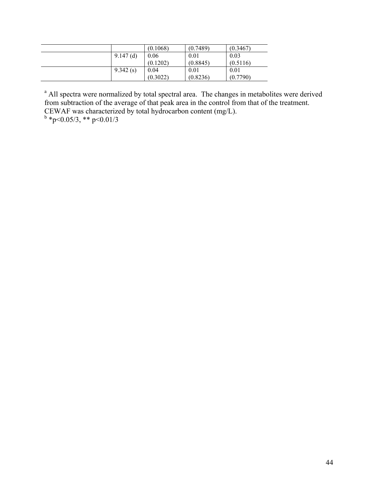|             | (0.1068) | (0.7489) | (0.3467) |
|-------------|----------|----------|----------|
| $9.147$ (d) | 0.06     | 0.01     | 0.03     |
|             | (0.1202) | (0.8845) | (0.5116) |
| 9.342(s)    | 0.04     | 0.01     | 0.01     |
|             | (0.3022) | (0.8236) | (0.7790) |

<sup>a</sup> All spectra were normalized by total spectral area. The changes in metabolites were derived from subtraction of the average of that peak area in the control from that of the treatment. CEWAF was characterized by total hydrocarbon content (mg/L).<br><sup>b</sup> \*p<0.05/3, \*\* p<0.01/3